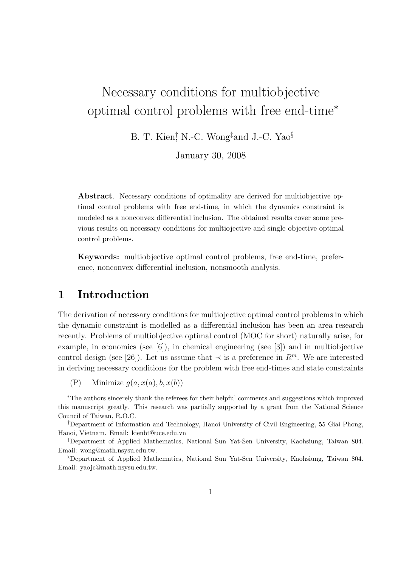# Necessary conditions for multiobjective optimal control problems with free end-time<sup>∗</sup>

B. T. Kien<sup>†</sup>, N.-C. Wong<sup>‡</sup>and J.-C. Yao<sup>§</sup>

January 30, 2008

Abstract. Necessary conditions of optimality are derived for multiobjective optimal control problems with free end-time, in which the dynamics constraint is modeled as a nonconvex differential inclusion. The obtained results cover some previous results on necessary conditions for multiojective and single objective optimal control problems.

Keywords: multiobjective optimal control problems, free end-time, preference, nonconvex differential inclusion, nonsmooth analysis.

#### 1 Introduction

The derivation of necessary conditions for multiojective optimal control problems in which the dynamic constraint is modelled as a differential inclusion has been an area research recently. Problems of multiobjective optimal control (MOC for short) naturally arise, for example, in economics (see [6]), in chemical engineering (see [3]) and in multiobjective control design (see [26]). Let us assume that  $\prec$  is a preference in  $R^m$ . We are interested in deriving necessary conditions for the problem with free end-times and state constraints

<sup>(</sup>P) Minimize  $g(a, x(a), b, x(b))$ 

<sup>∗</sup>The authors sincerely thank the referees for their helpful comments and suggestions which improved this manuscript greatly. This research was partially supported by a grant from the National Science Council of Taiwan, R.O.C.

<sup>†</sup>Department of Information and Technology, Hanoi University of Civil Engineering, 55 Giai Phong, Hanoi, Vietnam. Email: kienbt@uce.edu.vn

<sup>‡</sup>Department of Applied Mathematics, National Sun Yat-Sen University, Kaohsiung, Taiwan 804. Email: wong@math.nsysu.edu.tw.

<sup>§</sup>Department of Applied Mathematics, National Sun Yat-Sen University, Kaohsiung, Taiwan 804. Email: yaojc@math.nsysu.edu.tw.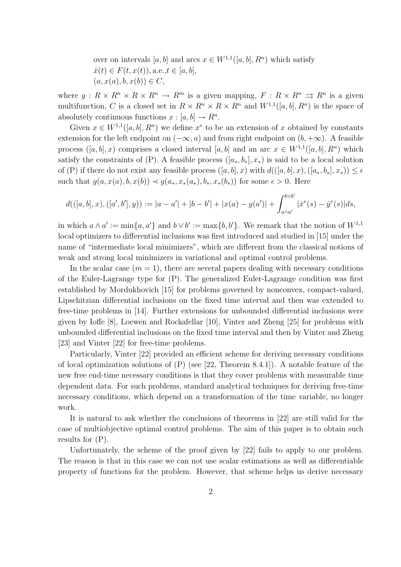over on intervals [a, b] and arcs  $x \in W^{1,1}([a, b], R^n)$  which satisfy  $\dot{x}(t) \in F(t, x(t)),$  a.e.,  $t \in [a, b],$  $(a, x(a), b, x(b)) \in C,$ 

where  $g: R \times R^n \times R \times R^n \to R^m$  is a given mapping,  $F: R \times R^n \Rightarrow R^n$  is a given multifunction, C is a closed set in  $R \times R^n \times R \times R^n$  and  $W^{1,1}([a, b], R^n)$  is the space of absolutely continuous functions  $x : [a, b] \to R^n$ .

Given  $x \in W^{1,1}([a, b], R^n)$  we define  $x^e$  to be an extension of x obtained by constants extension for the left endpoint on  $(-\infty, a)$  and from right endpoint on  $(b, +\infty)$ . A feasible process  $([a, b], x)$  comprises a closed interval  $[a, b]$  and an arc  $x \in W^{1,1}([a, b], R^n)$  which satisfy the constraints of (P). A feasible process  $([a_*, b_*], x_*)$  is said to be a local solution of (P) if there do not exist any feasible process  $([a, b], x)$  with  $d(([a, b], x), ([a_*, b_*], x_*)) \leq \epsilon$ such that  $g(a, x(a), b, x(b)) \prec g(a_*, x_*(a_*), b_*, x_*(b_*))$  for some  $\epsilon > 0$ . Here

$$
d(([a,b],x),([a',b'],y)) := |a-a'|+|b-b'|+|x(a)-y(a')|+\int_{a\wedge a'}^{b\vee b'}|\dot{x}^e(s)-\dot{y}^e(s)|ds,
$$

in which  $a \wedge a' := \min\{a, a'\}$  and  $b \vee b' := \max\{b, b'\}$ . We remark that the notion of  $W^{1,1}$ local optimizers to differential inclusions was first introduced and studied in [15] under the name of "intermediate local minimizers", which are different from the classical notions of weak and strong local minimizers in variational and optimal control problems.

In the scalar case  $(m = 1)$ , there are several papers dealing with necessary conditions of the Euler-Lagrange type for (P). The generalized Euler-Lagrange condition was first established by Mordukhovich [15] for problems governed by nonconvex, compact-valued, Lipschitzian differential inclusions on the fixed time interval and then was extended to free-time problems in [14]. Further extensions for unbounded differential inclusions were given by Ioffe [8], Loewen and Rockafellar [10], Vinter and Zheng [25] for problems with unbounded differential inclusions on the fixed time interval and then by Vinter and Zheng [23] and Vinter [22] for free-time problems.

Particularly, Vinter [22] provided an efficient scheme for deriving necessary conditions of local optimization solutions of  $(P)$  (see [22, Theorem 8.4.1]). A notable feature of the new free end-time necessary conditions is that they cover problems with measurable time dependent data. For such problems, standard analytical techniques for deriving free-time necessary conditions, which depend on a transformation of the time variable, no longer work.

It is natural to ask whether the conclusions of theorems in [22] are still valid for the case of multiobjective optimal control problems. The aim of this paper is to obtain such results for (P).

Unfortunately, the scheme of the proof given by [22] fails to apply to our problem. The reason is that in this case we can not use scalar estimations as well as differentiable property of functions for the problem. However, that scheme helps us derive necessary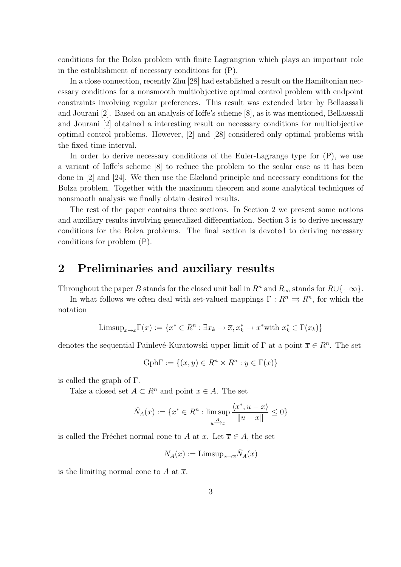conditions for the Bolza problem with finite Lagrangrian which plays an important role in the establishment of necessary conditions for (P).

In a close connection, recently Zhu [28] had established a result on the Hamiltonian necessary conditions for a nonsmooth multiobjective optimal control problem with endpoint constraints involving regular preferences. This result was extended later by Bellaassali and Jourani [2]. Based on an analysis of Ioffe's scheme [8], as it was mentioned, Bellaassali and Jourani [2] obtained a interesting result on necessary conditions for multiobjective optimal control problems. However, [2] and [28] considered only optimal problems with the fixed time interval.

In order to derive necessary conditions of the Euler-Lagrange type for (P), we use a variant of Ioffe's scheme [8] to reduce the problem to the scalar case as it has been done in [2] and [24]. We then use the Ekeland principle and necessary conditions for the Bolza problem. Together with the maximum theorem and some analytical techniques of nonsmooth analysis we finally obtain desired results.

The rest of the paper contains three sections. In Section 2 we present some notions and auxiliary results involving generalized differentiation. Section 3 is to derive necessary conditions for the Bolza problems. The final section is devoted to deriving necessary conditions for problem (P).

#### 2 Preliminaries and auxiliary results

Throughout the paper B stands for the closed unit ball in  $R^n$  and  $R_\infty$  stands for  $R\cup\{+\infty\}$ .

In what follows we often deal with set-valued mappings  $\Gamma: R^n \rightrightarrows R^n$ , for which the notation

$$
\text{Limsup}_{x \to \overline{x}} \Gamma(x) := \{ x^* \in R^n : \exists x_k \to \overline{x}, x_k^* \to x^* \text{with } x_k^* \in \Gamma(x_k) \}
$$

denotes the sequential Painlevé-Kuratowski upper limit of  $\Gamma$  at a point  $\overline{x} \in R^n$ . The set

$$
Gph\Gamma := \{(x, y) \in R^n \times R^n : y \in \Gamma(x)\}\
$$

is called the graph of Γ.

Take a closed set  $A \subset \mathbb{R}^n$  and point  $x \in A$ . The set

$$
\hat{N}_A(x) := \{ x^* \in R^n : \limsup_{u \to x} \frac{\langle x^*, u - x \rangle}{\|u - x\|} \le 0 \}
$$

is called the Fréchet normal cone to A at x. Let  $\overline{x} \in A$ , the set

$$
N_A(\overline{x}) := \mathrm{Limsup}_{x \to \overline{x}} \hat{N}_A(x)
$$

is the limiting normal cone to A at  $\overline{x}$ .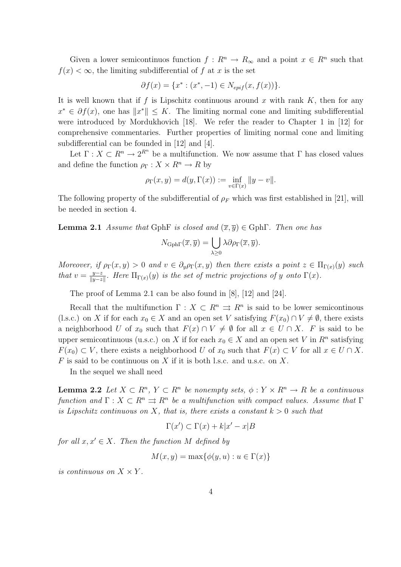Given a lower semicontinuos function  $f: R^n \to R_\infty$  and a point  $x \in R^n$  such that  $f(x) < \infty$ , the limiting subdifferential of f at x is the set

$$
\partial f(x) = \{x^* : (x^*, -1) \in N_{epif}(x, f(x))\}.
$$

It is well known that if f is Lipschitz continuous around x with rank  $K$ , then for any  $x^* \in \partial f(x)$ , one has  $||x^*|| \leq K$ . The limiting normal cone and limiting subdifferential were introduced by Mordukhovich [18]. We refer the reader to Chapter 1 in [12] for comprehensive commentaries. Further properties of limiting normal cone and limiting subdifferential can be founded in [12] and [4].

Let  $\Gamma: X \subset \mathbb{R}^n \to 2^{\mathbb{R}^n}$  be a multifunction. We now assume that  $\Gamma$  has closed values and define the function  $\rho_{\Gamma}: X \times R^n \to R$  by

$$
\rho_{\Gamma}(x, y) = d(y, \Gamma(x)) := \inf_{v \in \Gamma(x)} \|y - v\|.
$$

The following property of the subdifferential of  $\rho_F$  which was first established in [21], will be needed in section 4.

**Lemma 2.1** Assume that GphF is closed and  $(\overline{x}, \overline{y}) \in \text{Gph}\Gamma$ . Then one has

$$
N_{\text{Gph}\Gamma}(\overline{x},\overline{y}) = \bigcup_{\lambda \geq 0} \lambda \partial \rho_{\Gamma}(\overline{x},\overline{y}).
$$

Moreover, if  $\rho_{\Gamma}(x, y) > 0$  and  $v \in \partial_y \rho_{\Gamma}(x, y)$  then there exists a point  $z \in \Pi_{\Gamma(x)}(y)$  such that  $v = \frac{y-z}{\|y-z\|}$  $\frac{y-z}{\|y-z\|}$ . Here  $\Pi_{\Gamma(x)}(y)$  is the set of metric projections of y onto  $\Gamma(x)$ .

The proof of Lemma 2.1 can be also found in [8], [12] and [24].

Recall that the multifunction  $\Gamma : X \subset \mathbb{R}^n \Rightarrow \mathbb{R}^n$  is said to be lower semicontinous (l.s.c.) on X if for each  $x_0 \in X$  and an open set V satisfying  $F(x_0) \cap V \neq \emptyset$ , there exists a neighborhood U of  $x_0$  such that  $F(x) \cap V \neq \emptyset$  for all  $x \in U \cap X$ . F is said to be upper semicontinuous (u.s.c.) on X if for each  $x_0 \in X$  and an open set V in  $R^n$  satisfying  $F(x_0) \subset V$ , there exists a neighborhood U of  $x_0$  such that  $F(x) \subset V$  for all  $x \in U \cap X$ .  $F$  is said to be continuous on  $X$  if it is both l.s.c. and u.s.c. on  $X$ .

In the sequel we shall need

**Lemma 2.2** Let  $X \subset \mathbb{R}^n$ ,  $Y \subset \mathbb{R}^n$  be nonempty sets,  $\phi: Y \times \mathbb{R}^n \to \mathbb{R}$  be a continuous function and  $\Gamma: X \subset \mathbb{R}^n \Rightarrow \mathbb{R}^n$  be a multifunction with compact values. Assume that  $\Gamma$ is Lipschitz continuous on X, that is, there exists a constant  $k > 0$  such that

$$
\Gamma(x') \subset \Gamma(x) + k|x' - x|B
$$

for all  $x, x' \in X$ . Then the function M defined by

$$
M(x, y) = \max\{\phi(y, u) : u \in \Gamma(x)\}\
$$

is continuous on  $X \times Y$ .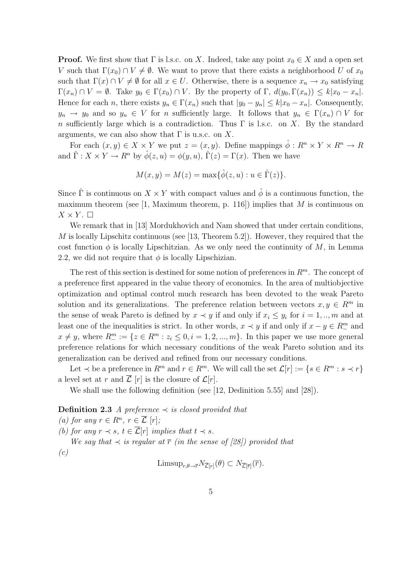**Proof.** We first show that  $\Gamma$  is l.s.c. on X. Indeed, take any point  $x_0 \in X$  and a open set V such that  $\Gamma(x_0) \cap V \neq \emptyset$ . We want to prove that there exists a neighborhood U of  $x_0$ such that  $\Gamma(x) \cap V \neq \emptyset$  for all  $x \in U$ . Otherwise, there is a sequence  $x_n \to x_0$  satisfying  $\Gamma(x_n) \cap V = \emptyset$ . Take  $y_0 \in \Gamma(x_0) \cap V$ . By the property of  $\Gamma$ ,  $d(y_0, \Gamma(x_n)) \leq k |x_0 - x_n|$ . Hence for each n, there exists  $y_n \in \Gamma(x_n)$  such that  $|y_0 - y_n| \le k|x_0 - x_n|$ . Consequently,  $y_n \to y_0$  and so  $y_n \in V$  for n sufficiently large. It follows that  $y_n \in \Gamma(x_n) \cap V$  for n sufficiently large which is a contradiction. Thus  $\Gamma$  is l.s.c. on X. By the standard arguments, we can also show that  $\Gamma$  is u.s.c. on X.

For each  $(x, y) \in X \times Y$  we put  $z = (x, y)$ . Define mappings  $\hat{\phi}: R^n \times Y \times R^n \to R$ and  $\hat{\Gamma}: X \times Y \to R^n$  by  $\hat{\phi}(z, u) = \phi(y, u)$ ,  $\hat{\Gamma}(z) = \Gamma(x)$ . Then we have

$$
M(x, y) = M(z) = \max{\{\hat{\phi}(z, u) : u \in \hat{\Gamma}(z)\}}.
$$

Since  $\hat{\Gamma}$  is continuous on  $X \times Y$  with compact values and  $\hat{\phi}$  is a continuous function, the maximum theorem (see [1, Maximum theorem, p. 116]) implies that  $M$  is continuous on  $X \times Y$ .  $\Box$ 

We remark that in [13] Mordukhovich and Nam showed that under certain conditions, M is locally Lipschitz continuous (see [13, Theorem 5.2]). However, they required that the cost function  $\phi$  is locally Lipschitzian. As we only need the continuity of M, in Lemma 2.2, we did not require that  $\phi$  is locally Lipschizian.

The rest of this section is destined for some notion of preferences in  $\mathbb{R}^m$ . The concept of a preference first appeared in the value theory of economics. In the area of multiobjective optimization and optimal control much research has been devoted to the weak Pareto solution and its generalizations. The preference relation between vectors  $x, y \in \mathbb{R}^m$  in the sense of weak Pareto is defined by  $x \prec y$  if and only if  $x_i \leq y_i$  for  $i = 1, ..., m$  and at least one of the inequalities is strict. In other words,  $x \prec y$  if and only if  $x - y \in \mathbb{R}^m_+$  and  $x \neq y$ , where  $R_{-}^{m} := \{z \in R^{m} : z_i \leq 0, i = 1, 2, ..., m\}$ . In this paper we use more general preference relations for which necessary conditions of the weak Pareto solution and its generalization can be derived and refined from our necessary conditions.

Let  $\prec$  be a preference in  $R^m$  and  $r \in R^m$ . We will call the set  $\mathcal{L}[r] := \{ s \in R^m : s \prec r \}$ a level set at r and  $\overline{\mathcal{L}}$  [r] is the closure of  $\mathcal{L}[r]$ .

We shall use the following definition (see [12, Dedinition 5.55] and [28]).

**Definition 2.3** A preference  $\prec$  is closed provided that

(a) for any  $r \in R^n$ ,  $r \in \overline{\mathcal{L}} [r]$ ; (b) for any  $r \prec s$ ,  $t \in \overline{\mathcal{L}}[r]$  implies that  $t \prec s$ . We say that  $\prec$  is regular at  $\overline{r}$  (in the sense of [28]) provided that  $(c)$ 

$$
\text{Limsup}_{r,\theta \to \overline{r}} N_{\overline{\mathcal{L}}[r]}(\theta) \subset N_{\overline{\mathcal{L}}[\overline{r}]}(\overline{r}).
$$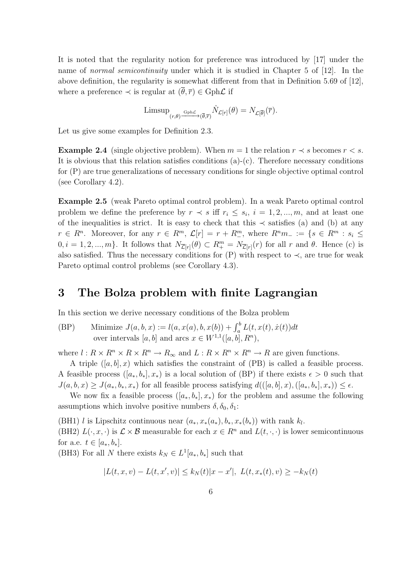It is noted that the regularity notion for preference was introduced by [17] under the name of normal semicontinuity under which it is studied in Chapter 5 of [12]. In the above definition, the regularity is somewhat different from that in Definition 5.69 of [12], where a preference  $\prec$  is regular at  $(\theta, \overline{r}) \in \text{Gph}\mathcal{L}$  if

$$
\mathrm{Limsup}_{(r,\theta) \xrightarrow{\mathrm{Gph}\mathcal{L}} (\overline{\theta},\overline{r})} \hat{N}_{\mathcal{L}[r]}(\theta) = N_{\mathcal{L}[\overline{\theta}]}(\overline{r}).
$$

Let us give some examples for Definition 2.3.

**Example 2.4** (single objective problem). When  $m = 1$  the relation  $r \prec s$  becomes  $r \prec s$ . It is obvious that this relation satisfies conditions (a)-(c). Therefore necessary conditions for (P) are true generalizations of necessary conditions for single objective optimal control (see Corollary 4.2).

Example 2.5 (weak Pareto optimal control problem). In a weak Pareto optimal control problem we define the preference by  $r \prec s$  iff  $r_i \leq s_i$ ,  $i = 1, 2, ..., m$ , and at least one of the inequalities is strict. It is easy to check that this  $\prec$  satisfies (a) and (b) at any  $r \in R^n$ . Moreover, for any  $r \in R^m$ ,  $\mathcal{L}[r] = r + R^m$ , where  $R^n m$  =  $\{s \in R^m : s_i \leq$  $0, i = 1, 2, ..., m$ . It follows that  $N_{\overline{\mathcal{L}}[r]}(\theta) \subset R^m_+ = N_{\overline{\mathcal{L}}[r]}(r)$  for all r and  $\theta$ . Hence (c) is also satisfied. Thus the necessary conditions for  $(P)$  with respect to  $\prec$ , are true for weak Pareto optimal control problems (see Corollary 4.3).

#### 3 The Bolza problem with finite Lagrangian

In this section we derive necessary conditions of the Bolza problem

(BP) Minimize  $J(a, b, x) := l(a, x(a), b, x(b)) + \int_a^b L(t, x(t), \dot{x}(t)) dt$ over intervals  $[a, b]$  and arcs  $x \in W^{1,1}([a, b], R^n)$ ,

where  $l : R \times R^n \times R \times R^n \to R_\infty$  and  $L : R \times R^n \times R^n \to R$  are given functions.

A triple  $([a, b], x)$  which satisfies the constraint of  $(PB)$  is called a feasible process. A feasible process  $([a_*, b_*], x_*)$  is a local solution of (BP) if there exists  $\epsilon > 0$  such that  $J(a, b, x) \geq J(a_*, b_*, x_*)$  for all feasible process satisfying  $d((a, b], x), (a_*, b_*], x_*)) \leq \epsilon$ .

We now fix a feasible process  $([a_*, b_*], x_*)$  for the problem and assume the following assumptions which involve positive numbers  $\delta, \delta_0, \delta_1$ :

(BH1) l is Lipschitz continuous near  $(a_*, x_*(a_*), b_*, x_*(b_*))$  with rank  $k_l$ . (BH2)  $L(\cdot, x, \cdot)$  is  $\mathcal{L} \times \mathcal{B}$  measurable for each  $x \in \mathbb{R}^n$  and  $L(t, \cdot, \cdot)$  is lower semicontinuous

for a.e.  $t \in [a_*, b_*].$ 

(BH3) For all N there exists  $k_N \in L^1[a_*, b_*]$  such that

$$
|L(t, x, v) - L(t, x', v)| \le k_N(t)|x - x'|, \ L(t, x_*(t), v) \ge -k_N(t)
$$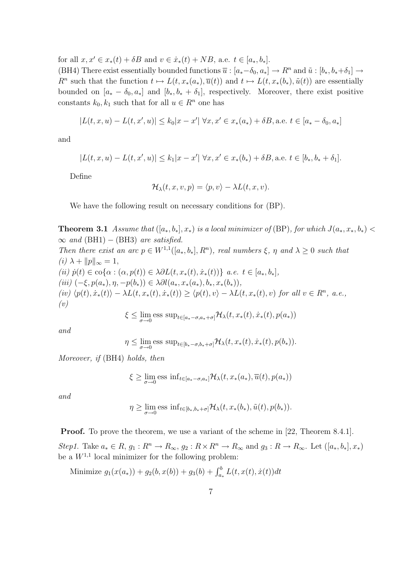for all  $x, x' \in x_*(t) + \delta B$  and  $v \in \dot{x}_*(t) + NB$ , a.e.  $t \in [a_*, b_*]$ .

(BH4) There exist essentially bounded functions  $\overline{u}: [a_*-\delta_0, a_*] \to R^n$  and  $\tilde{u}: [b_*, b_*+\delta_1] \to$  $R^n$  such that the function  $t \mapsto L(t, x_*(a_*), \overline{u}(t))$  and  $t \mapsto L(t, x_*(b_*), \tilde{u}(t))$  are essentially bounded on  $[a_* - \delta_0, a_*]$  and  $[b_*, b_* + \delta_1]$ , respectively. Moreover, there exist positive constants  $k_0, k_1$  such that for all  $u \in R^n$  one has

$$
|L(t, x, u) - L(t, x', u)| \le k_0 |x - x'| \,\forall x, x' \in x_*(a_*) + \delta B, \text{a.e. } t \in [a_* - \delta_0, a_*]
$$

and

$$
|L(t, x, u) - L(t, x', u)| \le k_1 |x - x'| \quad \forall x, x' \in x_*(b_*) + \delta B, \text{a.e. } t \in [b_*, b_* + \delta_1].
$$

Define

$$
\mathcal{H}_{\lambda}(t,x,v,p)=\langle p,v\rangle-\lambda L(t,x,v).
$$

We have the following result on necessary conditions for (BP).

**Theorem 3.1** Assume that  $([a_*,b_*],x_*)$  is a local minimizer of (BP), for which  $J(a_*,x_*,b_*)$  $\infty$  and (BH1) – (BH3) are satisfied. Then there exist an arc  $p \in W^{1,1}([a_*,b_*], R^n)$ , real numbers  $\xi$ ,  $\eta$  and  $\lambda \geq 0$  such that (i)  $\lambda + ||p||_{\infty} = 1$ , (ii)  $\dot{p}(t) \in \text{co}\{\alpha : (\alpha, p(t)) \in \lambda \partial L(t, x_*(t), \dot{x}_*(t))\}\ a.e. \ t \in [a_*, b_*],$ (iii)  $(-\xi, p(a_*), \eta, -p(b_*)) \in \lambda \partial l(a_*, x_*(a_*), b_*, x_*(b_*)),$  $(iv) \langle p(t), \dot{x}_*(t) \rangle - \lambda L(t, x_*(t), \dot{x}_*(t)) \ge \langle p(t), v \rangle - \lambda L(t, x_*(t), v)$  for all  $v \in R^n$ , a.e.,  $(v)$ 

$$
\xi \leq \lim_{\sigma \to 0} \text{ess sup}_{t \in [a_* - \sigma, a_* + \sigma]} \mathcal{H}_\lambda(t, x_*(t), \dot{x}_*(t), p(a_*))
$$

and

$$
\eta \leq \lim_{\sigma \to 0} \text{ess sup}_{t \in [b_*-\sigma, b_*+\sigma]} \mathcal{H}_\lambda(t, x_*(t), \dot{x}_*(t), p(b_*)).
$$

Moreover, if (BH4) holds, then

$$
\xi \ge \lim_{\sigma \to 0} \text{ess inf}_{t \in [a_* - \sigma, a_*]} \mathcal{H}_\lambda(t, x_*(a_*), \overline{u}(t), p(a_*))
$$

and

$$
\eta \geq \lim_{\sigma \to 0} \text{ess inf}_{t \in [b_*,b_*+\sigma]} \mathcal{H}_{\lambda}(t,x_*(b_*),\tilde{u}(t),p(b_*)).
$$

Proof. To prove the theorem, we use a variant of the scheme in [22, Theorem 8.4.1]. Step1. Take  $a_* \in R$ ,  $g_1: R^n \to R_\infty$ ,  $g_2: R \times R^n \to R_\infty$  and  $g_3: R \to R_\infty$ . Let  $([a_*, b_*], x_*)$ be a  $W^{1,1}$  local minimizer for the following problem:

Minimize  $g_1(x(a_*) + g_2(b,x(b)) + g_3(b) + \int_{a_*}^b L(t,x(t),\dot{x}(t))dt$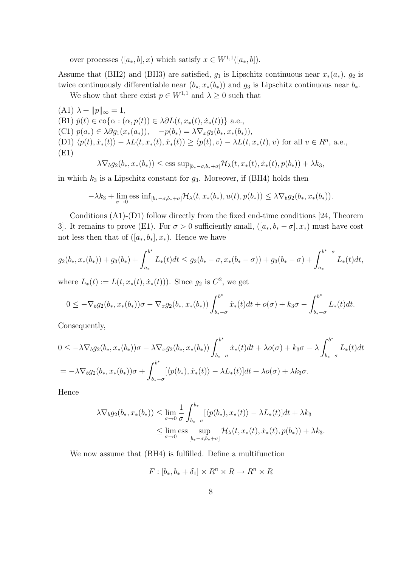over processes  $([a_*, b], x)$  which satisfy  $x \in W^{1,1}([a_*, b])$ .

Assume that (BH2) and (BH3) are satisfied,  $g_1$  is Lipschitz continuous near  $x_*(a_*)$ ,  $g_2$  is twice continuously differentiable near  $(b_*, x_*(b_*))$  and  $g_3$  is Lipschitz continuous near  $b_*$ .

We show that there exist  $p \in W^{1,1}$  and  $\lambda \geq 0$  such that

 $(A1)$   $\lambda + ||p||_{\infty} = 1,$ (B1)  $\dot{p}(t) \in \text{co}\{\alpha : (\alpha, p(t)) \in \lambda \partial L(t, x_*(t), \dot{x}_*(t))\}$  a.e., (C1)  $p(a_*) \in \lambda \partial g_1(x_*(a_*)), \quad -p(b_*) = \lambda \nabla_x g_2(b_*, x_*(b_*)),$ (D1)  $\langle p(t), \dot{x}_*(t) \rangle - \lambda L(t, x_*(t), \dot{x}_*(t)) \ge \langle p(t), v \rangle - \lambda L(t, x_*(t), v)$  for all  $v \in R^n$ , a.e., (E1)

$$
\lambda \nabla_b g_2(b_*, x_*(b_*)) \le \text{ess sup}_{[b_*-\sigma, b_*+\sigma]} \mathcal{H}_\lambda(t, x_*(t), \dot{x}_*(t), p(b_*)) + \lambda k_3,
$$

in which  $k_3$  is a Lipschitz constant for  $g_3$ . Moreover, if (BH4) holds then

$$
-\lambda k_3 + \lim_{\sigma \to 0} \text{ess inf}_{[b_*-\sigma, b_*+\sigma]} \mathcal{H}_\lambda(t, x_*(b_*), \overline{u}(t), p(b_*)) \leq \lambda \nabla_b g_2(b_*, x_*(b_*)).
$$

Conditions (A1)-(D1) follow directly from the fixed end-time conditions [24, Theorem 3]. It remains to prove (E1). For  $\sigma > 0$  sufficiently small,  $([a_*, b_* - \sigma], x_*)$  must have cost not less then that of  $([a_*,b_*],x_*)$ . Hence we have

$$
g_2(b_*, x_*(b_*)) + g_3(b_*) + \int_{a_*}^{b^*} L_*(t)dt \le g_2(b_* - \sigma, x_*(b_* - \sigma)) + g_3(b_* - \sigma) + \int_{a_*}^{b^* - \sigma} L_*(t)dt,
$$

where  $L_*(t) := L(t, x_*(t), \dot{x}_*(t))$ . Since  $g_2$  is  $C^2$ , we get

$$
0 \leq -\nabla_b g_2(b_*, x_*(b_*))\sigma - \nabla_x g_2(b_*, x_*(b_*)) \int_{b_*-\sigma}^{b^*} \dot{x}_*(t) dt + o(\sigma) + k_3 \sigma - \int_{b_*-\sigma}^{b^*} L_*(t) dt.
$$

Consequently,

$$
0 \leq -\lambda \nabla_b g_2(b_*, x_*(b_*))\sigma - \lambda \nabla_x g_2(b_*, x_*(b_*)) \int_{b_*-\sigma}^{b^*} \dot{x}_*(t)dt + \lambda o(\sigma) + k_3 \sigma - \lambda \int_{b_*-\sigma}^{b^*} L_*(t)dt
$$
  
=  $-\lambda \nabla_b g_2(b_*, x_*(b_*))\sigma + \int_{b_*-\sigma}^{b^*} [\langle p(b_*), \dot{x}_*(t) \rangle - \lambda L_*(t)]dt + \lambda o(\sigma) + \lambda k_3 \sigma.$ 

Hence

$$
\lambda \nabla_b g_2(b_*, x_*(b_*)) \leq \lim_{\sigma \to 0} \frac{1}{\sigma} \int_{b_*-\sigma}^{b_*} [\langle p(b_*), x_*(t) \rangle - \lambda L_*(t)] dt + \lambda k_3
$$
  

$$
\leq \lim_{\sigma \to 0} \underset{[b_*-\sigma, b_*+\sigma]}{\text{ess}} \lim_{[b_*-\sigma, b_*+\sigma]} \mathcal{H}_\lambda(t, x_*(t), \dot{x}_*(t), p(b_*)) + \lambda k_3.
$$

We now assume that (BH4) is fulfilled. Define a multifunction

$$
F: [b_*, b_* + \delta_1] \times R^n \times R \to R^n \times R
$$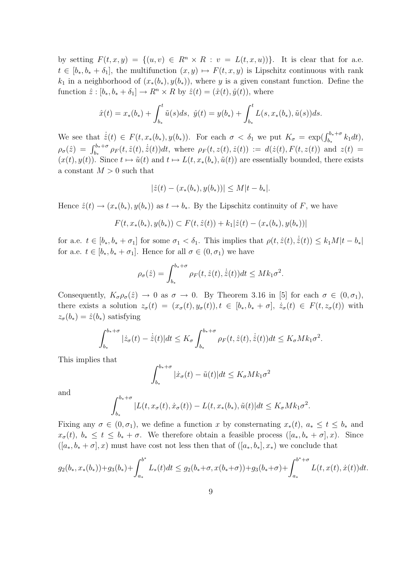by setting  $F(t, x, y) = \{(u, v) \in R^n \times R : v = L(t, x, u)\}\.$  It is clear that for a.e.  $t \in [b_*, b_* + \delta_1]$ , the multifunction  $(x, y) \mapsto F(t, x, y)$  is Lipschitz continuous with rank  $k_1$  in a neighborhood of  $(x_*(b_*), y(b_*))$ , where y is a given constant function. Define the function  $\hat{z} : [b_*, b_* + \delta_1] \to R^n \times R$  by  $\hat{z}(t) = (\hat{x}(t), \hat{y}(t))$ , where

$$
\hat{x}(t) = x_*(b_*) + \int_{b_*}^t \tilde{u}(s)ds, \ \hat{y}(t) = y(b_*) + \int_{b_*}^t L(s, x_*(b_*), \tilde{u}(s))ds.
$$

We see that  $\dot{\hat{z}}(t) \in F(t, x_*(b_*), y(b_*))$ . For each  $\sigma < \delta_1$  we put  $K_{\sigma} = \exp(\int_{b_*}^{b_*+\sigma} k_1 dt)$ ,  $\rho_{\sigma}(\hat{z}) = \int_{b_*}^{b_*+\sigma} \rho_F(t, \hat{z}(t), \dot{\hat{z}}(t)) dt$ , where  $\rho_F(t, z(t), \dot{z}(t)) := d(\dot{z}(t), F(t, z(t))$  and  $z(t) =$  $(x(t), y(t))$ . Since  $t \mapsto \tilde{u}(t)$  and  $t \mapsto L(t, x_*(b_*), \tilde{u}(t))$  are essentially bounded, there exists a constant  $M > 0$  such that

$$
|\hat{z}(t) - (x_*(b_*), y(b_*))| \le M|t - b_*|.
$$

Hence  $\hat{z}(t) \rightarrow (x_*(b_*), y(b_*))$  as  $t \rightarrow b_*$ . By the Lipschitz continuity of F, we have

$$
F(t, x_*(b_*), y(b_*)) \subset F(t, \hat{z}(t)) + k_1 |\hat{z}(t) - (x_*(b_*), y(b_*))|
$$

for a.e.  $t \in [b_*, b_* + \sigma_1]$  for some  $\sigma_1 < \delta_1$ . This implies that  $\rho(t, \hat{z}(t), \dot{\hat{z}}(t)) \leq k_1 M |t - b_*|$ for a.e.  $t \in [b_*, b_* + \sigma_1]$ . Hence for all  $\sigma \in (0, \sigma_1)$  we have

$$
\rho_{\sigma}(\hat{z}) = \int_{b_*}^{b_*+\sigma} \rho_F(t, \hat{z}(t), \dot{\hat{z}}(t)) dt \leq Mk_1 \sigma^2.
$$

Consequently,  $K_{\sigma}\rho_{\sigma}(\hat{z}) \to 0$  as  $\sigma \to 0$ . By Theorem 3.16 in [5] for each  $\sigma \in (0, \sigma_1)$ , there exists a solution  $z_{\sigma}(t) = (x_{\sigma}(t), y_{\sigma}(t)), t \in [b_*, b_* + \sigma], \dot{z}_{\sigma}(t) \in F(t, z_{\sigma}(t))$  with  $z_{\sigma}(b_*)=\hat{z}(b_*)$  satisfying

$$
\int_{b_*}^{b_*+\sigma} |\dot{z}_\sigma(t) - \dot{\hat{z}}(t)| dt \leq K_\sigma \int_{b_*}^{b_*+\sigma} \rho_F(t, \hat{z}(t), \dot{\hat{z}}(t)) dt \leq K_\sigma M k_1 \sigma^2.
$$

This implies that

$$
\int_{b_*}^{b_*+\sigma} |\dot{x}_\sigma(t) - \tilde{u}(t)| dt \le K_\sigma M k_1 \sigma^2
$$

and

$$
\int_{b_*}^{b_*+\sigma} |L(t,x_\sigma(t),\dot{x}_\sigma(t)) - L(t,x_*(b_*),\tilde{u}(t)|dt \leq K_\sigma Mk_1\sigma^2.
$$

Fixing any  $\sigma \in (0, \sigma_1)$ , we define a function x by consternating  $x_*(t)$ ,  $a_* \le t \le b_*$  and  $x_{\sigma}(t), b_{*} \leq t \leq b_{*} + \sigma$ . We therefore obtain a feasible process  $([a_{*}, b_{*} + \sigma], x)$ . Since  $([a_*, b_* + \sigma], x)$  must have cost not less then that of  $([a_*, b_*], x_*)$  we conclude that

$$
g_2(b_*, x_*(b_*)) + g_3(b_*) + \int_{a_*}^{b^*} L_*(t)dt \le g_2(b_* + \sigma, x(b_* + \sigma)) + g_3(b_* + \sigma) + \int_{a_*}^{b^* + \sigma} L(t, x(t), \dot{x}(t))dt.
$$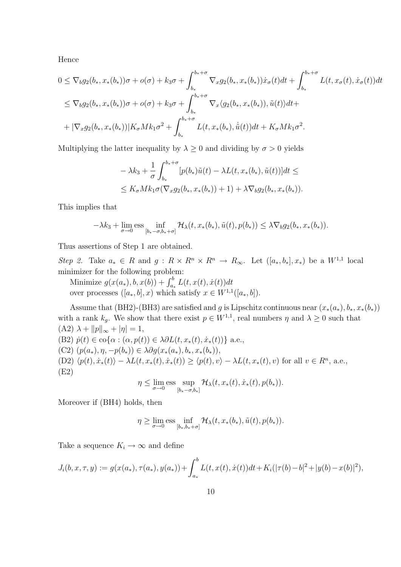Hence

$$
0 \leq \nabla_b g_2(b_*, x_*(b_*))\sigma + o(\sigma) + k_3 \sigma + \int_{b_*}^{b_* + \sigma} \nabla_x g_2(b_*, x_*(b_*)) \dot{x}_\sigma(t) dt + \int_{b_*}^{b_* + \sigma} L(t, x_\sigma(t), \dot{x}_\sigma(t)) dt
$$
  
\n
$$
\leq \nabla_b g_2(b_*, x_*(b_*))\sigma + o(\sigma) + k_3 \sigma + \int_{b_*}^{b_* + \sigma} \nabla_x \langle g_2(b_*, x_*(b_*)), \tilde{u}(t) \rangle dt +
$$
  
\n
$$
+ |\nabla_x g_2(b_*, x_*(b_*))| K_\sigma M k_1 \sigma^2 + \int_{b_*}^{b_* + \sigma} L(t, x_*(b_*), \dot{\tilde{u}}(t)) dt + K_\sigma M k_1 \sigma^2.
$$

Multiplying the latter inequality by  $\lambda \geq 0$  and dividing by  $\sigma > 0$  yields

$$
-\lambda k_3 + \frac{1}{\sigma} \int_{b_*}^{b_*+\sigma} [p(b_*)\tilde{u}(t) - \lambda L(t, x_*(b_*), \tilde{u}(t))]dt \le
$$
  

$$
\leq K_{\sigma} M k_1 \sigma(\nabla_x g_2(b_*, x_*(b_*)) + 1) + \lambda \nabla_b g_2(b_*, x_*(b_*)).
$$

This implies that

$$
-\lambda k_3 + \lim_{\sigma \to 0} \text{ess} \inf_{[b_*-\sigma, b_*+\sigma]} \mathcal{H}_\lambda(t, x_*(b_*), \tilde{u}(t), p(b_*)) \leq \lambda \nabla_b g_2(b_*, x_*(b_*)).
$$

Thus assertions of Step 1 are obtained.

Step 2. Take  $a_* \in R$  and  $g: R \times R^n \times R^n \to R_\infty$ . Let  $([a_*,b_*],x_*)$  be a  $W^{1,1}$  local minimizer for the following problem:

Minimize  $g(x(a_*), b, x(b)) + \int_{a_*}^{b} L(t, x(t), \dot{x}(t)) dt$ over processes  $([a_*, b], x)$  which satisfy  $x \in W^{1,1}([a_*, b]).$ 

Assume that (BH2)-(BH3) are satisfied and g is Lipschitz continuous near  $(x_*(a_*), b_*, x_*(b_*))$ with a rank  $k_g$ . We show that there exist  $p \in W^{1,1}$ , real numbers  $\eta$  and  $\lambda \geq 0$  such that  $(A2) \lambda + ||p||_{\infty} + |\eta| = 1,$ (B2)  $\dot{p}(t) \in \text{co}\{\alpha : (\alpha, p(t)) \in \lambda \partial L(t, x_*(t), \dot{x}_*(t))\}$  a.e.,

(C2)  $(p(a_*,), \eta, -p(b_*)) \in \lambda \partial g(x_*(a_*), b_*, x_*(b_*)),$ (D2)  $\langle p(t), \dot{x}_*(t) \rangle - \lambda L(t, x_*(t), \dot{x}_*(t)) \ge \langle p(t), v \rangle - \lambda L(t, x_*(t), v)$  for all  $v \in R^n$ , a.e., (E2)

$$
\eta \leq \lim_{\sigma \to 0} {\rm ess}\sup_{[b_*-\sigma,b_*]} \mathcal{H}_\lambda(t,x_*(t),\dot{x}_*(t),p(b_*)).
$$

Moreover if (BH4) holds, then

$$
\eta \geq \lim_{\sigma \to 0} \text{ess} \inf_{[b_*,b_*+\sigma]} \mathcal{H}_\lambda(t,x_*(b_*),\tilde{u}(t),p(b_*)).
$$

Take a sequence  $K_i \to \infty$  and define

$$
J_i(b, x, \tau, y) := g(x(a_*), \tau(a_*), y(a_*)) + \int_{a_*}^b L(t, x(t), \dot{x}(t)) dt + K_i(|\tau(b) - b|^2 + |y(b) - x(b)|^2),
$$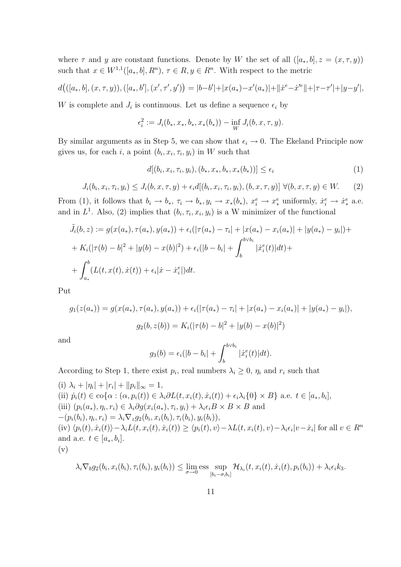where  $\tau$  and y are constant functions. Denote by W the set of all  $([a_*,b], z = (x, \tau, y))$ such that  $x \in W^{1,1}([a_*,b], R^n)$ ,  $\tau \in R$ ,  $y \in R^n$ . With respect to the metric

$$
d(([a_*,b],(x,\tau,y)),([a_*,b'],(x',\tau',y'))=|b-b'|+|x(a_*)-x'(a_*)|+||\dot{x}^e-\dot{x}'^e||+|\tau-\tau'|+|y-y'|,
$$

W is complete and  $J_i$  is continuous. Let us define a sequence  $\epsilon_i$  by

$$
\epsilon_i^2 := J_i(b_*, x_*, b_*, x_*(b_*)) - \inf_W J_i(b, x, \tau, y).
$$

By similar arguments as in Step 5, we can show that  $\epsilon_i \to 0$ . The Ekeland Principle now gives us, for each i, a point  $(b_i, x_i, \tau_i, y_i)$  in W such that

$$
d[(b_i, x_i, \tau_i, y_i), (b_*, x_*, b_*, x_*(b_*))] \le \epsilon_i
$$
\n(1)

$$
J_i(b_i, x_i, \tau_i, y_i) \leq J_i(b, x, \tau, y) + \epsilon_i d[(b_i, x_i, \tau_i, y_i), (b, x, \tau, y)] \ \forall (b, x, \tau, y) \in W. \tag{2}
$$

From (1), it follows that  $b_i \to b_*$ ,  $\tau_i \to b_*, y_i \to x_*(b_*)$ ,  $x_i^e \to x_*^e$  uniformly,  $\dot{x}_i^e \to \dot{x}_*^e$  a.e. and in  $L^1$ . Also, (2) implies that  $(b_i, \tau_i, x_i, y_i)$  is a W minimizer of the functional

$$
\tilde{J}_i(b, z) := g(x(a_*), \tau(a_*), y(a_*)) + \epsilon_i(|\tau(a_*) - \tau_i| + |x(a_*) - x_i(a_*)| + |y(a_*) - y_i|) +
$$
  
+ 
$$
K_i(|\tau(b) - b|^2 + |y(b) - x(b)|^2) + \epsilon_i(|b - b_i| + \int_b^{b \vee b_i} |\dot{x}_i^e(t)|dt) +
$$
  
+ 
$$
\int_{a_*}^b (L(t, x(t), \dot{x}(t)) + \epsilon_i |\dot{x} - \dot{x}_i^e|)dt.
$$

Put

$$
g_1(z(a_*)) = g(x(a_*), \tau(a_*), y(a_*)) + \epsilon_i(|\tau(a_*) - \tau_i| + |x(a_*) - x_i(a_*)| + |y(a_*) - y_i|),
$$
  

$$
g_2(b, z(b)) = K_i(|\tau(b) - b|^2 + |y(b) - x(b)|^2)
$$

and

$$
g_3(b) = \epsilon_i(|b - b_i| + \int_b^{b \lor b_i} |\dot{x}_i^e(t)| dt).
$$

According to Step 1, there exist  $p_i$ , real numbers  $\lambda_i \geq 0$ ,  $\eta_i$  and  $r_i$  such that

(i)  $\lambda_i + |\eta_i| + |r_i| + ||p_i||_{\infty} = 1,$ (ii)  $\dot{p}_i(t) \in \text{co}\{\alpha : (\alpha, p_i(t)) \in \lambda_i \partial L(t, x_i(t), \dot{x}_i(t)) + \epsilon_i \lambda_i \{0\} \times B\}$  a.e.  $t \in [a_*, b_i],$ (iii)  $(p_i(a_*), \eta_i, r_i) \in \lambda_i \partial g(x_i(a_*), \tau_i, y_i) + \lambda_i \epsilon_i B \times B \times B$  and  $-(p_i(b_i), \eta_i, r_i) = \lambda_i \nabla_z g_2(b_i, x_i(b_i), \tau_i(b_i), y_i(b_i)),$ (iv)  $\langle p_i(t), \dot{x}_i(t) \rangle - \lambda_i L(t, x_i(t), \dot{x}_i(t)) \ge \langle p_i(t), v \rangle - \lambda L(t, x_i(t), v) - \lambda_i \epsilon_i |v - \dot{x}_i|$  for all  $v \in R^n$ and a.e.  $t \in [a_*, b_i]$ . (v)

$$
\lambda_i \nabla_b g_2(b_i, x_i(b_i), \tau_i(b_i), y_i(b_i)) \leq \lim_{\sigma \to 0} \underset{[b_i - \sigma, b_i]}{\text{ess}} \sup \mathcal{H}_{\lambda_i}(t, x_i(t), \dot{x}_i(t), p_i(b_i)) + \lambda_i \epsilon_i k_3.
$$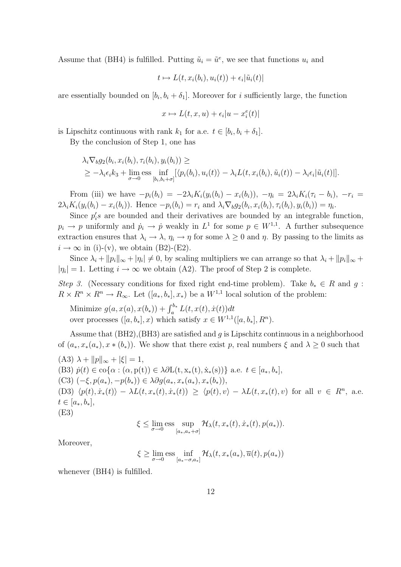Assume that (BH4) is fulfilled. Putting  $\tilde{u}_i = \tilde{u}^e$ , we see that functions  $u_i$  and

$$
t \mapsto L(t, x_i(b_i), u_i(t)) + \epsilon_i |\tilde{u}_i(t)|
$$

are essentially bounded on  $[b_i, b_i + \delta_1]$ . Moreover for i sufficiently large, the function

$$
x\mapsto L(t,x,u)+\epsilon_i|u-x^e_i(t)|
$$

is Lipschitz continuous with rank  $k_1$  for a.e.  $t \in [b_i, b_i + \delta_1]$ .

By the conclusion of Step 1, one has

$$
\lambda_i \nabla_b g_2(b_i, x_i(b_i), \tau_i(b_i), y_i(b_i)) \ge
$$
  
\n
$$
\geq -\lambda_i \epsilon_i k_3 + \lim_{\sigma \to 0} \text{ess} \inf_{[b_i, b_i + \sigma]} [\langle p_i(b_i), u_i(t) \rangle - \lambda_i L(t, x_i(b_i), \tilde{u}_i(t)) - \lambda_i \epsilon_i | \tilde{u}_i(t)|].
$$

From (iii) we have  $-p_i(b_i) = -2\lambda_i K_i(y_i(b_i) - x_i(b_i))$ ,  $-\eta_i = 2\lambda_i K_i(\tau_i - b_i)$ ,  $-r_i =$  $2\lambda_i K_i(y_i(b_i) - x_i(b_i))$ . Hence  $-p_i(b_i) = r_i$  and  $\lambda_i \nabla_b g_2(b_i, x_i(b_i), \tau_i(b_i), y_i(b_i)) = \eta_i$ .

Since  $p_i$ 's are bounded and their derivatives are bounded by an integrable function,  $p_i \to p$  uniformly and  $\dot{p}_i \to \dot{p}$  weakly in  $L^1$  for some  $p \in W^{1,1}$ . A further subsequence extraction ensures that  $\lambda_i \to \lambda$ ,  $\eta_i \to \eta$  for some  $\lambda \geq 0$  and  $\eta$ . By passing to the limits as  $i \rightarrow \infty$  in (i)-(v), we obtain (B2)-(E2).

Since  $\lambda_i + ||p_i||_{\infty} + |\eta_i| \neq 0$ , by scaling multipliers we can arrange so that  $\lambda_i + ||p_i||_{\infty} +$  $|\eta_i|=1$ . Letting  $i \to \infty$  we obtain (A2). The proof of Step 2 is complete.

Step 3. (Necessary conditions for fixed right end-time problem). Take  $b_* \in R$  and q:  $R \times R^n \times R^n \to R_\infty$ . Let  $([a_*, b_*], x_*)$  be a  $W^{1,1}$  local solution of the problem:

Minimize  $g(a, x(a), x(b_)) + \int_a^{b_*} L(t, x(t), \dot{x}(t)) dt$ over processes  $([a, b_*], x)$  which satisfy  $x \in W^{1,1}([a, b_*], R^n)$ .

Assume that  $(BH2)$ ,  $(BH3)$  are satisfied and g is Lipschitz continuous in a neighborhood of  $(a_*, x_*(a_*), x_*(b_*))$ . We show that there exist p, real numbers  $\xi$  and  $\lambda \geq 0$  such that  $(A3) \lambda + ||p||_{\infty} + |\xi| = 1,$ (B3)  $\dot{p}(t) \in \text{co}\{\alpha : (\alpha, p(t)) \in \lambda \partial L(t, x_*(t), \dot{x}_*(s))\}\$ a.e.  $t \in [a_*, b_*],$ (C3)  $(-\xi, p(a_*) , -p(b_*) ) \in \lambda \partial q(a_*, x_*(a_*), x_*(b_*)),$ (D3)  $\langle p(t), \dot{x}_*(t) \rangle - \lambda L(t, x_*(t), \dot{x}_*(t)) \ge \langle p(t), v \rangle - \lambda L(t, x_*(t), v)$  for all  $v \in R^n$ , a.e.  $t \in [a_*, b_*],$ (E3)

$$
\xi \leq \lim_{\sigma \to 0} \underset{[a_*,a_*+\sigma]}{\text{ess}} \sup \mathcal{H}_\lambda(t,x_*(t),\dot{x}_*(t),p(a_*)).
$$

Moreover,

$$
\xi \ge \lim_{\sigma \to 0} \text{ess} \inf_{[a_* - \sigma, a_*]} \mathcal{H}_\lambda(t, x_*(a_*), \overline{u}(t), p(a_*))
$$

whenever (BH4) is fulfilled.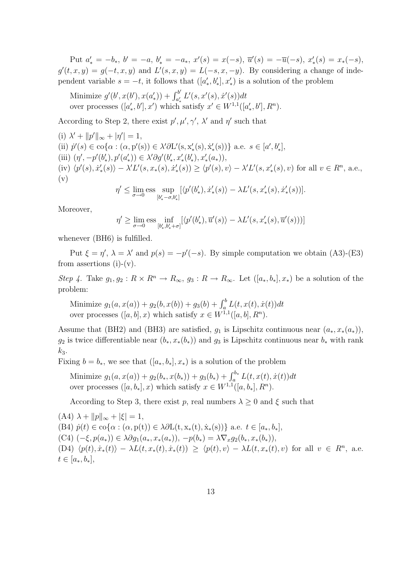Put  $a'_* = -b_*, b' = -a, b'_* = -a_*, x'(s) = x(-s), \overline{u}'(s) = -\overline{u}(-s), x'_*(s) = x_*(-s)$  $g'(t, x, y) = g(-t, x, y)$  and  $L'(s, x, y) = L(-s, x, -y)$ . By considering a change of independent variable  $s = -t$ , it follows that  $([a'_*, b'_*], x'_*)$  is a solution of the problem

Minimize  $g'(b', x(b'), x(a_*')) + \int_{a_*'}^{b'}$  $\int_{a'_*}^{b'} L'(s, x'(s), \dot{x}'(s)) dt$ over processes  $([a'_*, b'], x')$  which satisfy  $x' \in W^{1,1}([a'_*, b'], R^n)$ .

According to Step 2, there exist  $p', \mu', \gamma', \lambda'$  and  $\eta'$  such that

(i)  $\lambda' + ||p'||_{\infty} + |\eta'| = 1,$ (ii)  $\dot{p}'(s) \in \text{co}\{\alpha : (\alpha, p'(s)) \in \lambda' \partial L'(s, x'_{*}(s), \dot{x}'_{*}(s))\}$  a.e.  $s \in [a', b'_{*}],$ (iii)  $(\eta', -p'(b'_*), p'(a'_*)) \in \lambda' \partial g'(b'_*, x'_*(b'_*), x'_*(a_*)),$ (iv)  $\langle p'(s), \dot{x}'_*(s) \rangle - \lambda' L'(s, x_*(s), \dot{x}'_*(s)) \ge \langle p'(s), v \rangle - \lambda' L'(s, x'_*(s), v)$  for all  $v \in R^n$ , a.e., (v)

$$
\eta' \le \lim_{\sigma \to 0} \text{ess} \sup_{[b'_* - \sigma, b'_*]} [\langle p'(b'_*), \dot{x}'_*(s) \rangle - \lambda L'(s, x'_*(s), \dot{x}'_*(s))].
$$

Moreover,

$$
\eta' \ge \lim_{\sigma \to 0} \text{ess} \inf_{[b'_*,b'_*+\sigma]} [\langle p'(b'_*),\overline{u}'(s) \rangle - \lambda L'(s,x'_*(s),\overline{u}'(s)))]
$$

whenever (BH6) is fulfilled.

Put  $\xi = \eta'$ ,  $\lambda = \lambda'$  and  $p(s) = -p'(-s)$ . By simple computation we obtain (A3)-(E3) from assertions  $(i)-(v)$ .

Step 4. Take  $g_1, g_2 : R \times R^n \to R_\infty$ ,  $g_3 : R \to R_\infty$ . Let  $([a_*, b_*], x_*)$  be a solution of the problem:

Minimize  $g_1(a, x(a)) + g_2(b, x(b)) + g_3(b) + \int_a^b L(t, x(t), \dot{x}(t)) dt$ over processes  $([a, b], x)$  which satisfy  $x \in W^{1,1}([a, b], R^n)$ .

Assume that (BH2) and (BH3) are satisfied,  $g_1$  is Lipschitz continuous near  $(a_*, x_*(a_*))$ ,  $g_2$  is twice differentiable near  $(b_*, x_*(b_*))$  and  $g_3$  is Lipschitz continuous near  $b_*$  with rank  $k_3$ .

Fixing  $b = b_*$ , we see that  $([a_*, b_*], x_*)$  is a solution of the problem

Minimize  $g_1(a, x(a)) + g_2(b_*, x(b_*)) + g_3(b_*) + \int_a^{b_*} L(t, x(t), \dot{x}(t)) dt$ over processes  $([a, b_*], x)$  which satisfy  $x \in W^{1,1}([a, b_*], R^n)$ .

According to Step 3, there exist p, real numbers  $\lambda \geq 0$  and  $\xi$  such that

 $(A4) \lambda + ||p||_{\infty} + |\xi| = 1,$ (B4)  $\dot{p}(t) \in \text{co}\{\alpha : (\alpha, p(t)) \in \lambda \partial L(t, x_*(t), \dot{x}_*(s))\}$  a.e.  $t \in [a_*, b_*],$ (C4)  $(-\xi, p(a_*)\in \lambda \partial g_1(a_*, x_*(a_*)), -p(b_*)=\lambda \nabla_x g_2(b_*, x_*(b_*)),$ (D4)  $\langle p(t), \dot{x}_*(t) \rangle - \lambda L(t, x_*(t), \dot{x}_*(t)) \ge \langle p(t), v \rangle - \lambda L(t, x_*(t), v)$  for all  $v \in R^n$ , a.e.  $t \in [a_*, b_*],$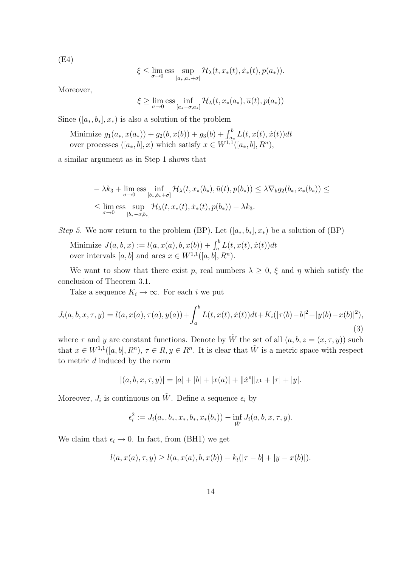(E4)

$$
\xi \leq \lim_{\sigma \to 0} \underset{[a_*,a_*+\sigma]}{\text{ess}} \sup \mathcal{H}_\lambda(t,x_*(t),\dot{x}_*(t),p(a_*)).
$$

Moreover,

 $\xi \geq \lim_{\sigma \to 0} \text{ess} \inf_{[a_* - \sigma, a_*]} \mathcal{H}_\lambda(t, x_*(a_*), \overline{u}(t), p(a_*))$ 

Since  $([a_*, b_*], x_*)$  is also a solution of the problem

Minimize  $g_1(a_*, x(a_*)) + g_2(b, x(b)) + g_3(b) + \int_{a_*}^b L(t, x(t), \dot{x}(t)) dt$ over processes  $([a_*,b],x)$  which satisfy  $x \in W^{1,1}([a_*,b], R^n)$ ,

a similar argument as in Step 1 shows that

$$
-\lambda k_3 + \lim_{\sigma \to 0} \underset{[b_*,b_*+\sigma]}{\text{ess}} \inf_{[b_*,b_*+\sigma]} \mathcal{H}_{\lambda}(t,x_*(b_*),\tilde{u}(t),p(b_*)) \leq \lambda \nabla_b g_2(b_*,x_*(b_*)) \leq
$$
  

$$
\leq \lim_{\sigma \to 0} \underset{[b_*-\sigma,b_*]}{\text{ess}} \sup_{[b_*-\sigma,b_*]} \mathcal{H}_{\lambda}(t,x_*(t),\dot{x}_*(t),p(b_*)) + \lambda k_3.
$$

*Step 5*. We now return to the problem (BP). Let  $([a_*, b_*], x_*)$  be a solution of (BP)

Minimize  $J(a, b, x) := l(a, x(a), b, x(b)) + \int_a^b L(t, x(t), \dot{x}(t)) dt$ over intervals  $[a, b]$  and arcs  $x \in W^{1,1}([a, b], R^n)$ .

We want to show that there exist p, real numbers  $\lambda \geq 0$ ,  $\xi$  and  $\eta$  which satisfy the conclusion of Theorem 3.1.

Take a sequence  $K_i \to \infty$ . For each i we put

$$
J_i(a, b, x, \tau, y) = l(a, x(a), \tau(a), y(a)) + \int_a^b L(t, x(t), \dot{x}(t))dt + K_i(|\tau(b) - b|^2 + |y(b) - x(b)|^2),
$$
\n(3)

where  $\tau$  and y are constant functions. Denote by  $\tilde{W}$  the set of all  $(a, b, z = (x, \tau, y))$  such that  $x \in W^{1,1}([a, b], R^n)$ ,  $\tau \in R$ ,  $y \in R^n$ . It is clear that  $\tilde{W}$  is a metric space with respect to metric d induced by the norm

$$
|(a, b, x, \tau, y)| = |a| + |b| + |x(a)| + ||\dot{x}^e||_{L^1} + |\tau| + |y|.
$$

Moreover,  $J_i$  is continuous on  $\tilde{W}$ . Define a sequence  $\epsilon_i$  by

$$
\epsilon_i^2 := J_i(a_*,b_*,x_*,b_*,x_*(b_*)) - \inf_{\tilde{W}} J_i(a,b,x,\tau,y).
$$

We claim that  $\epsilon_i \to 0$ . In fact, from (BH1) we get

$$
l(a, x(a), \tau, y) \ge l(a, x(a), b, x(b)) - k_l(|\tau - b| + |y - x(b)|).
$$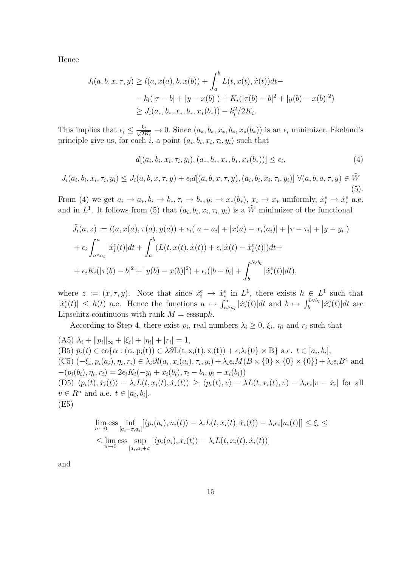Hence

$$
J_i(a, b, x, \tau, y) \ge l(a, x(a), b, x(b)) + \int_a^b L(t, x(t), \dot{x}(t))dt -
$$
  

$$
- k_l(|\tau - b| + |y - x(b)|) + K_i(|\tau(b) - b|^2 + |y(b) - x(b)|^2)
$$
  

$$
\ge J_i(a_*, b_*, x_*, b_*, x_*(b_*)) - k_l^2/2K_i.
$$

This implies that  $\epsilon_i \leq \frac{k_l}{\sqrt{2K_i}} \to 0$ . Since  $(a_*, b_*, x_*, b_*, x_*(b_*))$  is an  $\epsilon_i$  minimizer, Ekeland's principle give us, for each i, a point  $(a_i, b_i, x_i, \tau_i, y_i)$  such that

$$
d[(a_i, b_i, x_i, \tau_i, y_i), (a_*, b_*, x_*, b_*, x_*(b_*))] \le \epsilon_i,
$$
\n<sup>(4)</sup>

$$
J_i(a_i, b_i, x_i, \tau_i, y_i) \leq J_i(a, b, x, \tau, y) + \epsilon_i d[(a, b, x, \tau, y), (a_i, b_i, x_i, \tau_i, y_i)] \ \forall (a, b, a, \tau, y) \in \tilde{W}
$$
\n(5).

From (4) we get  $a_i \to a_*, b_i \to b_*, \tau_i \to b_*, y_i \to x_*(b_*)$ ,  $x_i \to x_*$  uniformly,  $\dot{x}_i^e \to \dot{x}_*^e$  a.e. and in  $L^1$ . It follows from (5) that  $(a_i, b_i, x_i, \tau_i, y_i)$  is a  $\tilde{W}$  minimizer of the functional

$$
\tilde{J}_i(a, z) := l(a, x(a), \tau(a), y(a)) + \epsilon_i(|a - a_i| + |x(a) - x_i(a_i)| + |\tau - \tau_i| + |y - y_i|)
$$
  
+ 
$$
\epsilon_i \int_{a \wedge a_i}^a |\dot{x}_i^e(t)| dt + \int_a^b (L(t, x(t), \dot{x}(t)) + \epsilon_i |\dot{x}(t) - \dot{x}_i^e(t)|) dt +
$$
  
+ 
$$
\epsilon_i K_i(|\tau(b) - b|^2 + |y(b) - x(b)|^2) + \epsilon_i(|b - b_i| + \int_b^{b \vee b_i} |\dot{x}_i^e(t)| dt),
$$

where  $z := (x, \tau, y)$ . Note that since  $\dot{x}_i^e \to \dot{x}_*^e$  in  $L^1$ , there exists  $h \in L^1$  such that  $|\dot{x}_i^e(t)| \leq h(t)$  a.e. Hence the functions  $a \mapsto \int_{a \wedge a_i}^a |\dot{x}_i^e(t)| dt$  and  $b \mapsto \int_b^{b \vee b_i} |\dot{x}_i^e(t)| dt$  are Lipschitz continuous with rank  $M =$  esssuph.

According to Step 4, there exist  $p_i$ , real numbers  $\lambda_i \geq 0$ ,  $\xi_i$ ,  $\eta_i$  and  $r_i$  such that

(A5)  $\lambda_i + ||p_i||_{\infty} + |\xi_i| + |\eta_i| + |r_i| = 1$ , (B5)  $\dot{p}_i(t) \in \text{co}\{\alpha : (\alpha, p_i(t)) \in \lambda \partial L(t, x_i(t), \dot{x}_i(t)) + \epsilon_i \lambda_i \{0\} \times B\}$  a.e.  $t \in [a_i, b_i]$ , (C5)  $(-\xi_i, p_i(a_i), \eta_i, r_i) \in \lambda_i \partial l(a_i, x_i(a_i), \tau_i, y_i) + \lambda_i \epsilon_i M(B \times \{0\} \times \{0\}) + \lambda_i \epsilon_i B^4$  and  $-(p_i(b_i), \eta_i, r_i) = 2\epsilon_i K_i(-y_i + x_i(b_i), \tau_i - b_i, y_i - x_i(b_i))$  $(D5) \langle p_i(t), \dot{x}_i(t) \rangle - \lambda_i L(t, x_i(t), \dot{x}_i(t)) \geq \langle p_i(t), v \rangle - \lambda L(t, x_i(t), v) - \lambda_i \epsilon_i |v - \dot{x}_i|$  for all  $v \in R^n$  and a.e.  $t \in [a_i, b_i]$ . (E5)

$$
\lim_{\sigma \to 0} \underset{[a_i - \sigma, a_i]}{\text{lim}} [\langle p_i(a_i), \overline{u}_i(t) \rangle - \lambda_i L(t, x_i(t), \dot{x}_i(t)) - \lambda_i \epsilon_i |\overline{u}_i(t)|] \leq \xi_i \leq
$$
\n
$$
\leq \lim_{\sigma \to 0} \underset{[a_i, a_i + \sigma]}{\text{ess}} \sup_{[a_i, a_i + \sigma]} [\langle p_i(a_i), \dot{x}_i(t) \rangle - \lambda_i L(t, x_i(t), \dot{x}_i(t))]
$$

and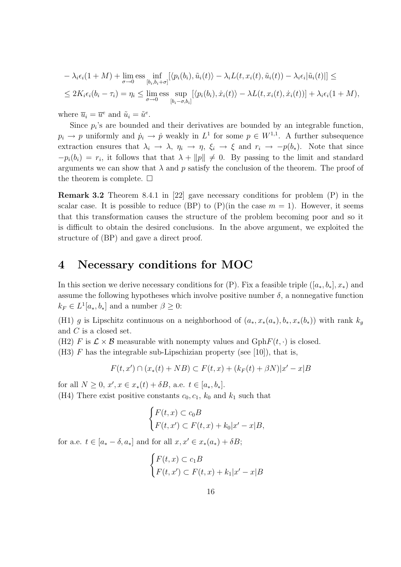$$
- \lambda_i \epsilon_i (1 + M) + \lim_{\sigma \to 0} \text{ess} \inf_{[b_i, b_i + \sigma]} [\langle p_i(b_i), \tilde{u}_i(t) \rangle - \lambda_i L(t, x_i(t), \tilde{u}_i(t)) - \lambda_i \epsilon_i |\tilde{u}_i(t)|] \le
$$
  

$$
\leq 2K_i \epsilon_i (b_i - \tau_i) = \eta_i \leq \lim_{\sigma \to 0} \text{ess} \sup_{[b_i - \sigma, b_i]} [\langle p_i(b_i), \dot{x}_i(t) \rangle - \lambda L(t, x_i(t), \dot{x}_i(t))] + \lambda_i \epsilon_i (1 + M),
$$

where  $\overline{u}_i = \overline{u}^e$  and  $\tilde{u}_i = \tilde{u}^e$ .

Since  $p_i$ 's are bounded and their derivatives are bounded by an integrable function,  $p_i \to p$  uniformly and  $\dot{p}_i \to \dot{p}$  weakly in  $L^1$  for some  $p \in W^{1,1}$ . A further subsequence extraction ensures that  $\lambda_i \to \lambda$ ,  $\eta_i \to \eta$ ,  $\xi_i \to \xi$  and  $r_i \to -p(b_*)$ . Note that since  $-p_i(b_i) = r_i$ , it follows that that  $\lambda + ||p|| \neq 0$ . By passing to the limit and standard arguments we can show that  $\lambda$  and p satisfy the conclusion of the theorem. The proof of the theorem is complete.  $\Box$ 

Remark 3.2 Theorem 8.4.1 in [22] gave necessary conditions for problem (P) in the scalar case. It is possible to reduce (BP) to  $(P)(in the case m = 1)$ . However, it seems that this transformation causes the structure of the problem becoming poor and so it is difficult to obtain the desired conclusions. In the above argument, we exploited the structure of (BP) and gave a direct proof.

## 4 Necessary conditions for MOC

In this section we derive necessary conditions for  $(P)$ . Fix a feasible triple  $([a_*,b_*],x_*)$  and assume the following hypotheses which involve positive number  $\delta$ , a nonnegative function  $k_F \in L^1[a_*,b_*]$  and a number  $\beta \geq 0$ :

(H1) g is Lipschitz continuous on a neighborhood of  $(a_*, x_*(a_*), b_*, x_*(b_*))$  with rank  $k_g$ and C is a closed set.

(H2) F is  $\mathcal{L} \times \mathcal{B}$  measurable with nonempty values and GphF(t, ·) is closed.

(H3)  $F$  has the integrable sub-Lipschizian property (see [10]), that is,

$$
F(t, x') \cap (x_*(t) + NB) \subset F(t, x) + (k_F(t) + \beta N)|x' - x|B
$$

for all  $N \geq 0$ ,  $x', x \in x_*(t) + \delta B$ , a.e.  $t \in [a_*, b_*]$ . (H4) There exist positive constants  $c_0, c_1, k_0$  and  $k_1$  such that

$$
\begin{cases} F(t,x) \subset c_0 B \\ F(t,x') \subset F(t,x) + k_0 |x' - x| B, \end{cases}
$$

for a.e.  $t \in [a_* - \delta, a_*]$  and for all  $x, x' \in x_*(a_*) + \delta B;$ 

$$
\begin{cases} F(t,x) \subset c_1 B \\ F(t,x') \subset F(t,x) + k_1 |x'-x| B \end{cases}
$$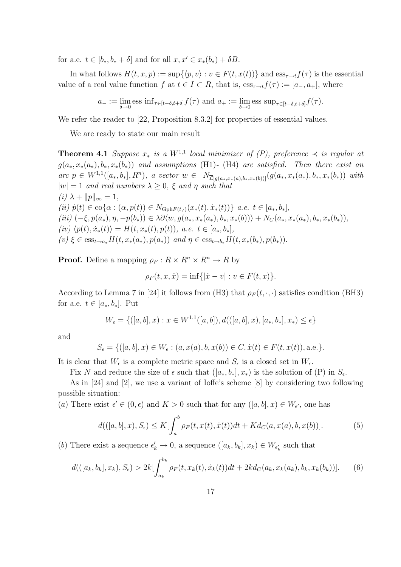for a.e.  $t \in [b_*, b_* + \delta]$  and for all  $x, x' \in x_*(b_*) + \delta B$ .

In what follows  $H(t, x, p) := \sup\{\langle p, v\rangle : v \in F(t, x(t))\}\$ and  $\text{ess}_{\tau \to t}f(\tau)$  is the essential value of a real value function f at  $t \in I \subset R$ , that is,  $\operatorname{ess}_{\tau \to t} f(\tau) := [a_-, a_+]$ , where

$$
a_- := \lim_{\delta \to 0} \text{ess inf}_{\tau \in [t-\delta, t+\delta]} f(\tau) \text{ and } a_+ := \lim_{\delta \to 0} \text{ess sup}_{\tau \in [t-\delta, t+\delta]} f(\tau).
$$

We refer the reader to [22, Proposition 8.3.2] for properties of essential values.

We are ready to state our main result

**Theorem 4.1** Suppose  $x_*$  is a  $W^{1,1}$  local minimizer of  $(P)$ , preference  $\prec$  is regular at  $g(a_*, x_*(a_*), b_*, x_*(b_*))$  and assumptions (H1)- (H4) are satisfied. Then there exist an  $\text{arc } p \in W^{1,1}([a_*,b_*], R^n), \ a \ \text{vector } w \in N_{\overline{L}[g(a_*,x_*(a),b_*,x_*(b))]}(g(a_*,x_*(a_*),b_*,x_*(b_*)) \ \text{with}$  $|w| = 1$  and real numbers  $\lambda \geq 0$ ,  $\xi$  and  $\eta$  such that (i)  $\lambda + ||p||_{\infty} = 1$ , (ii)  $\dot{p}(t) \in \text{co}\{\alpha : (\alpha, p(t)) \in N_{\text{Gph}F(t,\cdot)}(x_*(t), \dot{x}_*(t))\}\ a.e. \ t \in [a_*, b_*],$  $(iii)$   $(-\xi, p(a_*,), \eta, -p(b_*)) \in \lambda \partial \langle w, g(a_*, x_*(a_*), b_*, x_*(b)) \rangle + N_C(a_*, x_*(a_*), b_*, x_*(b_*)),$ (iv)  $\langle p(t), \dot{x}_*(t) \rangle = H(t, x_*(t), p(t)), \ a.e. \ t \in [a_*, b_*],$  $(v) \in \text{ess}_{t \to a_*} H(t, x_*(a_*), p(a_*))$  and  $\eta \in \text{ess}_{t \to b_*} H(t, x_*(b_*), p(b_*)).$ 

**Proof.** Define a mapping  $\rho_F : R \times R^n \times R^n \to R$  by

$$
\rho_F(t, x, \dot{x}) = \inf\{| \dot{x} - v| : v \in F(t, x)\}.
$$

According to Lemma 7 in [24] it follows from (H3) that  $\rho_F(t, \cdot, \cdot)$  satisfies condition (BH3) for a.e.  $t \in [a_*, b_*]$ . Put

$$
W_{\epsilon} = \{([a, b], x) : x \in W^{1,1}([a, b]), d(([a, b], x), [a_*, b_*], x_*) \le \epsilon\}
$$

and

$$
S_{\epsilon} = \{ ([a, b], x) \in W_{\epsilon} : (a, x(a), b, x(b)) \in C, \dot{x}(t) \in F(t, x(t)), \text{a.e.} \}.
$$

It is clear that  $W_{\epsilon}$  is a complete metric space and  $S_{\epsilon}$  is a closed set in  $W_{\epsilon}$ .

Fix N and reduce the size of  $\epsilon$  such that  $([a_*, b_*], x_*)$  is the solution of  $(P)$  in  $S_{\epsilon}$ .

As in [24] and [2], we use a variant of Ioffe's scheme [8] by considering two following possible situation:

(a) There exist  $\epsilon' \in (0, \epsilon)$  and  $K > 0$  such that for any  $([a, b], x) \in W_{\epsilon'}$ , one has

$$
d(([a,b],x),S_{\epsilon}) \leq K[\int_{a}^{b} \rho_{F}(t,x(t),\dot{x}(t))dt + Kd_{C}(a,x(a),b,x(b))].
$$
 (5)

(b) There exist a sequence  $\epsilon'_k \to 0$ , a sequence  $([a_k, b_k], x_k) \in W_{\epsilon'_k}$  such that

$$
d(([a_k, b_k], x_k), S_{\epsilon}) > 2k \left[\int_{a_k}^{b_k} \rho_F(t, x_k(t), \dot{x}_k(t))dt + 2kd_C(a_k, x_k(a_k), b_k, x_k(b_k))\right].
$$
 (6)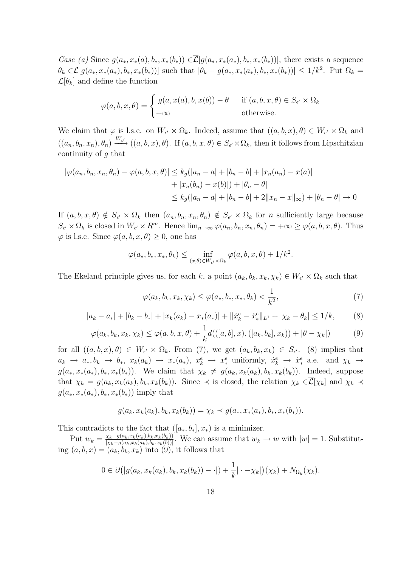Case (a) Since  $g(a_*, x_*(a), b_*, x_*(b_*)) \in \overline{\mathcal{L}}[g(a_*, x_*(a_*), b_*, x_*(b_*))]$ , there exists a sequence  $\theta_k \in \mathcal{L}[g(a_*,x_*(a_*),b_*,x_*(b_*))]$  such that  $|\theta_k - g(a_*,x_*(a_*),b_*,x_*(b_*))| \leq 1/k^2$ . Put  $\Omega_k =$  $\overline{\mathcal{L}}[\theta_k]$  and define the function

$$
\varphi(a, b, x, \theta) = \begin{cases} |g(a, x(a), b, x(b)) - \theta| & \text{if } (a, b, x, \theta) \in S_{\epsilon'} \times \Omega_k \\ +\infty & \text{otherwise.} \end{cases}
$$

We claim that  $\varphi$  is l.s.c. on  $W_{\epsilon'} \times \Omega_k$ . Indeed, assume that  $((a, b, x), \theta) \in W_{\epsilon'} \times \Omega_k$  and  $((a_n, b_n, x_n), \theta_n) \xrightarrow{W_{\epsilon'}} ((a, b, x), \theta)$ . If  $(a, b, x, \theta) \in S_{\epsilon'} \times \Omega_k$ , then it follows from Lipschitzian continuity of  $q$  that

$$
|\varphi(a_n, b_n, x_n, \theta_n) - \varphi(a, b, x, \theta)| \le k_g(|a_n - a| + |b_n - b| + |x_n(a_n) - x(a)| + |x_n(b_n) - x(b)|) + |\theta_n - \theta|
$$
  

$$
\le k_g(|a_n - a| + |b_n - b| + 2||x_n - x||_{\infty}) + |\theta_n - \theta| \to 0
$$

If  $(a, b, x, \theta) \notin S_{\epsilon'} \times \Omega_k$  then  $(a_n, b_n, x_n, \theta_n) \notin S_{\epsilon'} \times \Omega_k$  for *n* sufficiently large because  $S_{\epsilon'} \times \Omega_k$  is closed in  $W_{\epsilon'} \times R^m$ . Hence  $\lim_{n \to \infty} \varphi(a_n, b_n, x_n, \theta_n) = +\infty \geq \varphi(a, b, x, \theta)$ . Thus  $\varphi$  is l.s.c. Since  $\varphi(a, b, x, \theta) \geq 0$ , one has

$$
\varphi(a_*,b_*,x_*,\theta_k) \leq \inf_{(x,\theta)\in W_{\epsilon'}\times\Omega_k} \varphi(a,b,x,\theta) + 1/k^2.
$$

The Ekeland principle gives us, for each k, a point  $(a_k, b_k, x_k, \chi_k) \in W_{\epsilon'} \times \Omega_k$  such that

$$
\varphi(a_k, b_k, x_k, \chi_k) \le \varphi(a_*, b_*, x_*, \theta_k) < \frac{1}{k^2},\tag{7}
$$

$$
|a_k - a_*| + |b_k - b_*| + |x_k(a_k) - x_*(a_*)| + ||\dot{x}_k^e - \dot{x}_*^e||_{L^1} + |\chi_k - \theta_k| \le 1/k,\tag{8}
$$

$$
\varphi(a_k, b_k, x_k, \chi_k) \le \varphi(a, b, x, \theta) + \frac{1}{k} d(([a, b], x), ([a_k, b_k], x_k)) + |\theta - \chi_k|)
$$
(9)

for all  $((a, b, x), \theta) \in W_{\epsilon'} \times \Omega_k$ . From (7), we get  $(a_k, b_k, x_k) \in S_{\epsilon'}$ . (8) implies that  $a_k \to a_*, b_k \to b_*, \ x_k(a_k) \to x_*(a_*), \ x_k^e \to x_*^e \text{ uniformly, } \ \dot{x}_k^e \to \dot{x}_*^e \text{ a.e. and } \chi_k \to \chi_k^e \text{)}$  $g(a_*, x_*(a_*), b_*, x_*(b_*))$ . We claim that  $\chi_k \neq g(a_k, x_k(a_k), b_k, x_k(b_k))$ . Indeed, suppose that  $\chi_k = g(a_k, x_k(a_k), b_k, x_k(b_k))$ . Since  $\prec$  is closed, the relation  $\chi_k \in \overline{\mathcal{L}}[\chi_k]$  and  $\chi_k \prec$  $g(a_*, x_*(a_*), b_*, x_*(b_*))$  imply that

$$
g(a_k, x_k(a_k), b_k, x_k(b_k)) = \chi_k \prec g(a_*, x_*(a_*), b_*, x_*(b_*)).
$$

This contradicts to the fact that  $([a_*,b_*],x_*)$  is a minimizer.

Put  $w_k = \frac{\chi_k - g(a_k, x_k(a_k), b_k, x_k(b_k))}{|\chi_k - g(a_k, x_k(a_k), b_k, x_k(b))|}$  $\frac{\chi_k-g(a_k,x_k(a_k),b_k,x_k(b_k))}{|\chi_k-g(a_k,x_k(a_k),b_k,x_k(b))|}$ . We can assume that  $w_k \to w$  with  $|w|=1$ . Substituting  $(a, b, x) = (a_k, b_k, x_k)$  into (9), it follows that

$$
0 \in \partial (|g(a_k, x_k(a_k), b_k, x_k(b_k)) - \cdot|) + \frac{1}{k} |\cdot - \chi_k|)(\chi_k) + N_{\Omega_k}(\chi_k).
$$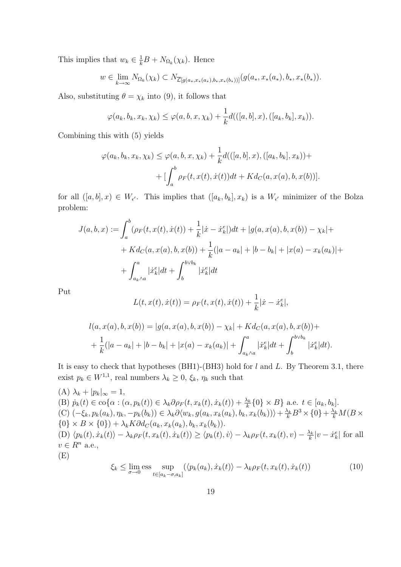This implies that  $w_k \in \frac{1}{k}B + N_{\Omega_k}(\chi_k)$ . Hence

$$
w \in \lim_{k \to \infty} N_{\Omega_k}(\chi_k) \subset N_{\overline{\mathcal{L}}[g(a_*,x_*(a_*),b_*,x_*(b_*))]}(g(a_*,x_*(a_*),b_*,x_*(b_*)).
$$

Also, substituting  $\theta = \chi_k$  into (9), it follows that

$$
\varphi(a_k,b_k,x_k,\chi_k)\leq \varphi(a,b,x,\chi_k)+\frac{1}{k}d(([a,b],x),([a_k,b_k],x_k)).
$$

Combining this with (5) yields

$$
\varphi(a_k, b_k, x_k, \chi_k) \leq \varphi(a, b, x, \chi_k) + \frac{1}{k} d(([a, b], x), ([a_k, b_k], x_k)) + \left[ \int_a^b \rho_F(t, x(t), \dot{x}(t)) dt + K d_C(a, x(a), b, x(b)) \right].
$$

for all  $([a, b], x) \in W_{\epsilon'}$ . This implies that  $([a_k, b_k], x_k)$  is a  $W_{\epsilon'}$  minimizer of the Bolza problem:

$$
J(a,b,x) := \int_{a}^{b} (\rho_F(t, x(t), \dot{x}(t)) + \frac{1}{k} |\dot{x} - \dot{x}_k^e|) dt + |g(a, x(a), b, x(b)) - \chi_k| +
$$
  
+ 
$$
K d_C(a, x(a), b, x(b)) + \frac{1}{k} (|a - a_k| + |b - b_k| + |x(a) - x_k(a_k)| +
$$
  
+ 
$$
\int_{a_k \wedge a}^{a} |\dot{x}_k^e| dt + \int_{b}^{b \vee b_k} |\dot{x}_k^e| dt
$$

Put

$$
L(t, x(t), \dot{x}(t)) = \rho_F(t, x(t), \dot{x}(t)) + \frac{1}{k}|\dot{x} - \dot{x}_k^e|,
$$

$$
l(a, x(a), b, x(b)) = |g(a, x(a), b, x(b)) - \chi_k| + K d_C(a, x(a), b, x(b)) +
$$
  
+ 
$$
\frac{1}{k} (|a - a_k| + |b - b_k| + |x(a) - x_k(a_k)| + \int_{a_k \wedge a}^a | \dot{x}_k^e | dt + \int_b^{b \vee b_k} | \dot{x}_k^e | dt).
$$

It is easy to check that hypotheses (BH1)-(BH3) hold for  $l$  and  $L$ . By Theorem 3.1, there exist  $p_k \in W^{1,1}$ , real numbers  $\lambda_k \geq 0$ ,  $\xi_k$ ,  $\eta_k$  such that

(A) 
$$
\lambda_k + |p_k|_{\infty} = 1
$$
,  
\n(B)  $\dot{p}_k(t) \in \text{co}\{\alpha : (\alpha, p_k(t)) \in \lambda_k \partial \rho_F(t, x_k(t), \dot{x}_k(t)) + \frac{\lambda_k}{k} \{0\} \times B\}$  a.e.  $t \in [a_k, b_k]$ .  
\n(C)  $(-\xi_k, p_k(a_k), \eta_k, -p_k(b_k)) \in \lambda_k \partial \langle w_k, g(a_k, x_k(a_k), b_k, x_k(b_k)) \rangle + \frac{\lambda_k}{k} B^3 \times \{0\} + \frac{\lambda_k}{k} M(B \times \{0\} \times B \times \{0\}) + \lambda_k K \partial d_C(a_k, x_k(a_k), b_k, x_k(b_k)).$   
\n(D)  $\langle p_k(t), \dot{x}_k(t) \rangle - \lambda_k \rho_F(t, x_k(t), \dot{x}_k(t)) \geq \langle p_k(t), \dot{v} \rangle - \lambda_k \rho_F(t, x_k(t), v) - \frac{\lambda_k}{k} |v - \dot{x}_k^e|$  for all  $v \in R^n$  a.e.,  
\n(E)

$$
\xi_k \le \lim_{\sigma \to 0} \underset{t \in [a_k - \sigma, a_k]}{\text{sup}} (\langle p_k(a_k), \dot{x}_k(t) \rangle - \lambda_k \rho_F(t, x_k(t), \dot{x}_k(t)) \tag{10}
$$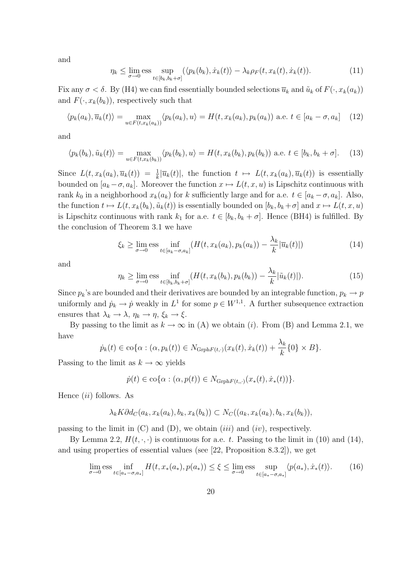and

$$
\eta_k \le \lim_{\sigma \to 0} \text{ess} \sup_{t \in [b_k, b_k + \sigma]} (\langle p_k(b_k), \dot{x}_k(t) \rangle - \lambda_k \rho_F(t, x_k(t), \dot{x}_k(t)). \tag{11}
$$

Fix any  $\sigma < \delta$ . By (H4) we can find essentially bounded selections  $\overline{u}_k$  and  $\tilde{u}_k$  of  $F(\cdot, x_k(a_k))$ and  $F(\cdot, x_k(b_k))$ , respectively such that

$$
\langle p_k(a_k), \overline{u}_k(t) \rangle = \max_{u \in F(t, x_k(a_k))} \langle p_k(a_k), u \rangle = H(t, x_k(a_k), p_k(a_k)) \text{ a.e. } t \in [a_k - \sigma, a_k] \quad (12)
$$

and

$$
\langle p_k(b_k), \tilde{u}_k(t) \rangle = \max_{u \in F(t, x_k(b_k))} \langle p_k(b_k), u \rangle = H(t, x_k(b_k), p_k(b_k)) \text{ a.e. } t \in [b_k, b_k + \sigma]. \tag{13}
$$

Since  $L(t, x_k(a_k), \overline{u}_k(t)) = \frac{1}{k} |\overline{u}_k(t)|$ , the function  $t \mapsto L(t, x_k(a_k), \overline{u}_k(t))$  is essentially bounded on  $[a_k - \sigma, a_k]$ . Moreover the function  $x \mapsto L(t, x, u)$  is Lipschitz continuous with rank  $k_0$  in a neighborhood  $x_k(a_k)$  for k sufficiently large and for a.e.  $t \in [a_k - \sigma, a_k]$ . Also, the function  $t \mapsto L(t, x_k(b_k), \tilde{u}_k(t))$  is essentially bounded on  $[b_k, b_k + \sigma]$  and  $x \mapsto L(t, x, u)$ is Lipschitz continuous with rank  $k_1$  for a.e.  $t \in [b_k, b_k + \sigma]$ . Hence (BH4) is fulfilled. By the conclusion of Theorem 3.1 we have

$$
\xi_k \ge \lim_{\sigma \to 0} \text{ess} \inf_{t \in [a_k - \sigma, a_k]} (H(t, x_k(a_k), p_k(a_k)) - \frac{\lambda_k}{k} |\overline{u}_k(t)|)
$$
(14)

and

$$
\eta_k \ge \lim_{\sigma \to 0} \text{ess} \inf_{t \in [b_k, b_k + \sigma]} (H(t, x_k(b_k), p_k(b_k)) - \frac{\lambda_k}{k} |\tilde{u}_k(t)|). \tag{15}
$$

Since  $p_k$ 's are bounded and their derivatives are bounded by an integrable function,  $p_k \to p$ uniformly and  $\dot{p}_k \to \dot{p}$  weakly in  $L^1$  for some  $p \in W^{1,1}$ . A further subsequence extraction ensures that  $\lambda_k \to \lambda$ ,  $\eta_k \to \eta$ ,  $\xi_k \to \xi$ .

By passing to the limit as  $k \to \infty$  in (A) we obtain (i). From (B) and Lemma 2.1, we have

$$
\dot{p}_k(t) \in \text{co}\{\alpha : (\alpha, p_k(t)) \in N_{\text{Grph}F(t,\cdot)}(x_k(t), \dot{x}_k(t)) + \frac{\lambda_k}{k}\{0\} \times B\}.
$$

Passing to the limit as  $k \to \infty$  yields

$$
\dot{p}(t) \in \text{co}\{\alpha : (\alpha, p(t)) \in N_{\text{Grph}F(t, \cdot)}(x_*(t), \dot{x}_*(t))\}.
$$

Hence  $(ii)$  follows. As

$$
\lambda_k K \partial d_C(a_k, x_k(a_k), b_k, x_k(b_k)) \subset N_C((a_k, x_k(a_k), b_k, x_k(b_k)),
$$

passing to the limit in  $(C)$  and  $(D)$ , we obtain  $(iii)$  and  $(iv)$ , respectively.

By Lemma 2.2,  $H(t, \cdot, \cdot)$  is continuous for a.e. t. Passing to the limit in (10) and (14), and using properties of essential values (see [22, Proposition 8.3.2]), we get

$$
\lim_{\sigma \to 0} \text{ess} \inf_{t \in [a_* - \sigma, a_*]} H(t, x_*(a_*), p(a_*)) \le \xi \le \lim_{\sigma \to 0} \text{ess} \sup_{t \in [a_* - \sigma, a_*]} \langle p(a_*), \dot{x}_*(t) \rangle. \tag{16}
$$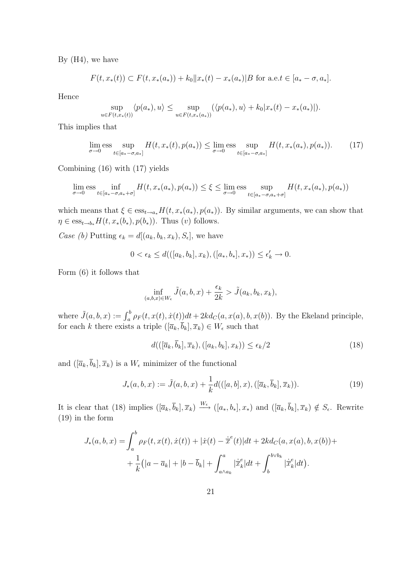By  $(H4)$ , we have

$$
F(t, x_*(t)) \subset F(t, x_*(a_*)) + k_0 ||x_*(t) - x_*(a_*)|B \text{ for a.e.} t \in [a_* - \sigma, a_*].
$$

Hence

$$
\sup_{u \in F(t, x_*(t))} \langle p(a_*) , u \rangle \leq \sup_{u \in F(t, x_*(a_*))} (\langle p(a_*), u \rangle + k_0 |x_* (t) - x_* (a_*)|).
$$

This implies that

$$
\lim_{\sigma \to 0} \text{ess} \sup_{t \in [a_* - \sigma, a_*]} H(t, x_*(t), p(a_*)) \le \lim_{\sigma \to 0} \text{ess} \sup_{t \in [a_* - \sigma, a_*]} H(t, x_*(a_*), p(a_*)). \tag{17}
$$

Combining (16) with (17) yields

$$
\lim_{\sigma \to 0} \text{ess} \inf_{t \in [a_* - \sigma, a_* + \sigma]} H(t, x_*(a_*), p(a_*)) \le \xi \le \lim_{\sigma \to 0} \text{ess} \sup_{t \in [a_* - \sigma, a_* + \sigma]} H(t, x_*(a_*), p(a_*))
$$

which means that  $\xi \in \mathrm{ess}_{t\to a_*}H(t, x_*(a_*), p(a_*))$ . By similar arguments, we can show that  $\eta \in \mathrm{ess}_{t \to b_*} H(t, x_*(b_*), p(b_*)).$  Thus  $(v)$  follows.

Case (b) Putting  $\epsilon_k = d[(a_k, b_k, x_k), S_{\epsilon}],$  we have

$$
0<\epsilon_k\leq d(([a_k,b_k],x_k),([a_*,b_*],x_*))\leq \epsilon_k'\rightarrow 0.
$$

Form (6) it follows that

$$
\inf_{(a,b,x)\in W_{\epsilon}} \tilde{J}(a,b,x) + \frac{\epsilon_k}{2k} > \tilde{J}(a_k,b_k,x_k),
$$

where  $\tilde{J}(a, b, x) := \int_a^b \rho_F(t, x(t), \dot{x}(t))dt + 2kd_C(a, x(a), b, x(b))$ . By the Ekeland principle, for each k there exists a triple  $([\overline{a}_k, b_k], \overline{x}_k) \in W_{\epsilon}$  such that

$$
d((\left[\overline{a}_k, \overline{b}_k\right], \overline{x}_k), \left(\left[a_k, b_k\right], x_k\right)) \le \epsilon_k/2 \tag{18}
$$

and  $([\overline{a}_k, \overline{b}_k], \overline{x}_k)$  is a  $W_{\epsilon}$  minimizer of the functional

$$
J_*(a, b, x) := \tilde{J}(a, b, x) + \frac{1}{k}d(([a, b], x), ([\overline{a}_k, \overline{b}_k], \overline{x}_k)).
$$
\n(19)

It is clear that (18) implies  $([\overline{a}_k, \overline{b}_k], \overline{x}_k) \stackrel{W_{\epsilon}}{\longrightarrow} ([a_*, b_*], x_*)$  and  $([\overline{a}_k, \overline{b}_k], \overline{x}_k) \notin S_{\epsilon}$ . Rewrite (19) in the form

$$
J_*(a, b, x) = \int_a^b \rho_F(t, x(t), \dot{x}(t)) + |\dot{x}(t) - \dot{\overline{x}}^e(t)|dt + 2kd_C(a, x(a), b, x(b)) + + \frac{1}{k}(|a - \overline{a}_k| + |b - \overline{b}_k| + \int_{a \wedge a_k}^a |\dot{\overline{x}}^e_k|dt + \int_b^{b \vee b_k} |\dot{\overline{x}}^e_k|dt).
$$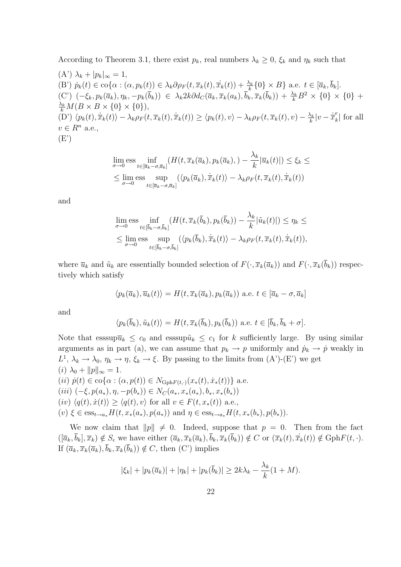According to Theorem 3.1, there exist  $p_k$ , real numbers  $\lambda_k \geq 0$ ,  $\xi_k$  and  $\eta_k$  such that  $(A') \lambda_k + |p_k|_{\infty} = 1,$ (B')  $\dot{p}_k(t) \in \text{co}\{\alpha : (\alpha, p_k(t)) \in \lambda_k \partial \rho_F(t, \overline{x}_k(t), \dot{\overline{x}}_k(t)) + \frac{\lambda_k}{k} \{0\} \times B\}$  a.e.  $t \in [\overline{a}_k, \overline{b}_k]$ . (C')  $(-\xi_k, p_k(\overline{a}_k), \eta_k, -p_k(\overline{b}_k)) \in \lambda_k 2k \partial d_C(\overline{a}_k, \overline{x}_k(a_k), \overline{b}_k, \overline{x}_k(\overline{b}_k)) + \frac{\lambda_k}{k} B^2 \times \{0\} \times \{0\}$  +  $\frac{\lambda_k}{k} M(B \times B \times \{0\} \times \{0\}),$  $\langle D' \rangle \langle p_k(t), \dot{x}_k(t) \rangle - \lambda_k \rho_F(t, \overline{x}_k(t), \dot{x}_k(t)) \geq \langle p_k(t), v \rangle - \lambda_k \rho_F(t, \overline{x}_k(t), v) - \frac{\lambda_k}{k}$  $\frac{\lambda_k}{k} |v - \dot{\overline{x}}_k^e$  $\left| \frac{\epsilon}{k} \right|$  for all  $v \in R^n$  a.e.,  $(E')$ 

$$
\lim_{\sigma \to 0} \text{ess} \inf_{t \in [\overline{a}_k - \sigma, \overline{a}_k]} (H(t, \overline{x}_k(\overline{a}_k), p_k(\overline{a}_k), ) - \frac{\lambda_k}{k} |\overline{u}_k(t)|) \le \xi_k \le
$$
\n
$$
\le \lim_{\sigma \to 0} \text{ess} \sup_{t \in [\overline{a}_k - \sigma, \overline{a}_k]} (\langle p_k(\overline{a}_k), \dot{\overline{x}}_k(t) \rangle - \lambda_k \rho_F(t, \overline{x}_k(t), \dot{\overline{x}}_k(t))
$$

and

$$
\lim_{\sigma \to 0} \text{ess} \inf_{t \in [\bar{b}_k - \sigma, \bar{b}_k]} (H(t, \overline{x}_k(\bar{b}_k), p_k(\bar{b}_k)) - \frac{\lambda_k}{k} |\tilde{u}_k(t)|) \le \eta_k \le
$$
\n
$$
\le \lim_{\sigma \to 0} \text{ess} \sup_{t \in [\bar{b}_k - \sigma, \bar{b}_k]} (\langle p_k(\bar{b}_k), \dot{\overline{x}}_k(t) \rangle - \lambda_k \rho_F(t, \overline{x}_k(t), \dot{\overline{x}}_k(t)),
$$

where  $\overline{u}_k$  and  $\tilde{u}_k$  are essentially bounded selection of  $F(\cdot, \overline{x}_k(\overline{a}_k))$  and  $F(\cdot, \overline{x}_k(\overline{b}_k))$  respectively which satisfy

$$
\langle p_k(\overline{a}_k), \overline{u}_k(t) \rangle = H(t, \overline{x}_k(\overline{a}_k), p_k(\overline{a}_k))
$$
 a.e.  $t \in [\overline{a}_k - \sigma, \overline{a}_k]$ 

and

$$
\langle p_k(\bar{b}_k), \tilde{u}_k(t) \rangle = H(t, \overline{x}_k(\bar{b}_k), p_k(\bar{b}_k)) \text{ a.e. } t \in [\overline{b}_k, \overline{b}_k + \sigma].
$$

Note that esssup $\bar{u}_k \leq c_0$  and esssup $\tilde{u}_k \leq c_1$  for k sufficiently large. By using similar arguments as in part (a), we can assume that  $p_k \to p$  uniformly and  $\dot{p}_k \to \dot{p}$  weakly in  $L^1, \lambda_k \to \lambda_0, \eta_k \to \eta, \xi_k \to \xi$ . By passing to the limits from  $(A')$ - $(E')$  we get (*i*)  $\lambda_0 + ||p||_{\infty} = 1.$ (*ii*)  $\dot{p}(t) \in \text{co}\{\alpha : (\alpha, p(t)) \in N_{\text{Gph}F(t,\cdot)}(x_*(t), \dot{x}_*(t))\}$  a.e. (iii)  $(-\xi, p(a_*,), \eta, -p(b_*)) \in N_C(a_*, x_*(a_*), b_*, x_*(b_*))$  $(iv) \langle q(t), \dot{x}(t)\rangle \geq \langle q(t), v\rangle$  for all  $v \in F(t, x_*(t))$  a.e., (v)  $\xi \in \text{ess}_{t \to a_*} H(t, x_*(a_*), p(a_*))$  and  $\eta \in \text{ess}_{t \to a_*} H(t, x_*(b_*), p(b_*)).$ 

We now claim that  $||p|| \neq 0$ . Indeed, suppose that  $p = 0$ . Then from the fact  $([\overline{a}_k, \overline{b}_k], \overline{x}_k) \notin S_{\epsilon}$  we have either  $(\overline{a}_k, \overline{x}_k(\overline{a}_k), \overline{b}_k, \overline{x}_k(\overline{b}_k)) \notin C$  or  $(\overline{x}_k(t), \overline{x}_k(t)) \notin \text{Gph}F(t, \cdot)$ . If  $(\overline{a}_k, \overline{x}_k(\overline{a}_k), \overline{b}_k, \overline{x}_k(\overline{b}_k)) \notin C$ , then  $(C')$  implies

$$
|\xi_k| + |p_k(\overline{a}_k)| + |\eta_k| + |p_k(\overline{b}_k)| \ge 2k\lambda_k - \frac{\lambda_k}{k}(1+M).
$$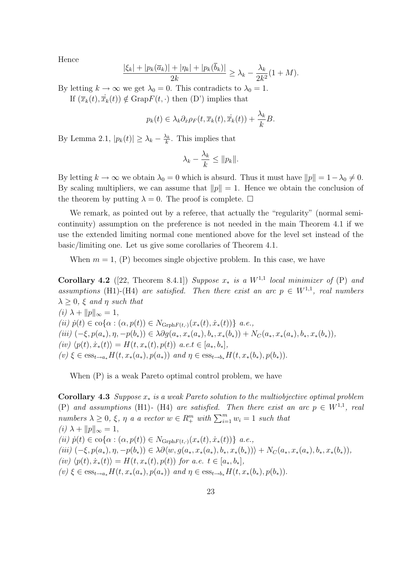Hence

$$
\frac{|\xi_k|+|p_k(\overline{a}_k)|+|\eta_k|+|p_k(\overline{b}_k)|}{2k} \geq \lambda_k - \frac{\lambda_k}{2k^2}(1+M).
$$

By letting  $k \to \infty$  we get  $\lambda_0 = 0$ . This contradicts to  $\lambda_0 = 1$ . If  $(\overline{x}_k(t), \dot{\overline{x}}_k(t)) \notin \text{Graph}(t, \cdot)$  then  $(D')$  implies that

$$
p_k(t) \in \lambda_k \partial_{\dot{x}} \rho_F(t, \overline{x}_k(t), \dot{\overline{x}}_k(t)) + \frac{\lambda_k}{k} B.
$$

By Lemma 2.1,  $|p_k(t)| \geq \lambda_k - \frac{\lambda_k}{k}$  $\frac{\lambda_k}{k}$ . This implies that

$$
\lambda_k - \frac{\lambda_k}{k} \leq \|p_k\|.
$$

By letting  $k \to \infty$  we obtain  $\lambda_0 = 0$  which is absurd. Thus it must have  $||p|| = 1 - \lambda_0 \neq 0$ . By scaling multipliers, we can assume that  $||p|| = 1$ . Hence we obtain the conclusion of the theorem by putting  $\lambda = 0$ . The proof is complete.  $\Box$ 

We remark, as pointed out by a referee, that actually the "regularity" (normal semicontinuity) assumption on the preference is not needed in the main Theorem 4.1 if we use the extended limiting normal cone mentioned above for the level set instead of the basic/limiting one. Let us give some corollaries of Theorem 4.1.

When  $m = 1$ , (P) becomes single objective problem. In this case, we have

Corollary 4.2 ([22, Theorem 8.4.1]) Suppose  $x_*$  is a  $W^{1,1}$  local minimizer of (P) and assumptions (H1)-(H4) are satisfied. Then there exist an arc  $p \in W^{1,1}$ , real numbers  $\lambda \geq 0$ ,  $\xi$  and  $\eta$  such that (i)  $\lambda + ||p||_{\infty} = 1$ , (ii)  $\dot{p}(t) \in \text{co}\{\alpha : (\alpha, p(t)) \in N_{\text{Grbh}F(t,\cdot)}(x_*(t), \dot{x}_*(t))\}\ a.e.,$ 

(iii)  $(-\xi, p(a_*,), \eta, -p(b_*)) \in \lambda \partial g(a_*, x_*(a_*), b_*, x_*(b_*)) + N_C(a_*, x_*(a_*), b_*, x_*(b_*)),$  $(iv) \langle p(t), \dot{x}_*(t)\rangle = H(t, x_*(t), p(t))$  a.e.t  $\in [a_*, b_*],$  $(v) \xi \in \text{ess}_{t \to a_*} H(t, x_*(a_*), p(a_*))$  and  $\eta \in \text{ess}_{t \to b_*} H(t, x_*(b_*), p(b_*)).$ 

When (P) is a weak Pareto optimal control problem, we have

Corollary 4.3 Suppose  $x_*$  is a weak Pareto solution to the multiobjective optimal problem (P) and assumptions (H1)- (H4) are satisfied. Then there exist an arc  $p \in W^{1,1}$ , real numbers  $\lambda \geq 0$ ,  $\xi$ ,  $\eta$  a a vector  $w \in R_+^m$  with  $\sum_{i=1}^m w_i = 1$  such that (i)  $\lambda + ||p||_{\infty} = 1$ , (ii)  $\dot{p}(t) \in \text{co}\{\alpha : (\alpha, p(t)) \in N_{\text{Grph}F(t,\cdot)}(x_*(t), \dot{x}_*(t))\}\ a.e.,$  $(iii)$   $(-\xi, p(a_*,), \eta, -p(b_*)) \in \lambda \partial \langle w, g(a_*, x_*(a_*), b_*, x_*(b_*)) \rangle + N_C(a_*, x_*(a_*), b_*, x_*(b_*)),$ (iv)  $\langle p(t), \dot{x}_*(t) \rangle = H(t, x_*(t), p(t))$  for a.e.  $t \in [a_*, b_*],$ (v)  $\xi \in \text{ess}_{t \to a_*} H(t, x_*(a_*), p(a_*))$  and  $\eta \in \text{ess}_{t \to b_*} H(t, x_*(b_*), p(b_*)).$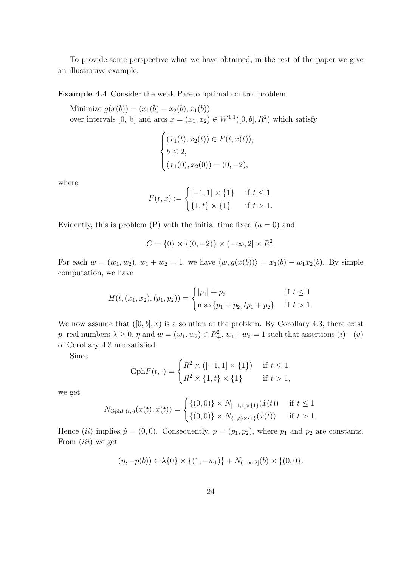To provide some perspective what we have obtained, in the rest of the paper we give an illustrative example.

#### Example 4.4 Consider the weak Pareto optimal control problem

Minimize  $g(x(b)) = (x_1(b) - x_2(b), x_1(b))$ over intervals [0, b] and arcs  $x = (x_1, x_2) \in W^{1,1}([0, b], R^2)$  which satisfy

$$
\begin{cases}\n(\dot{x}_1(t), \dot{x}_2(t)) \in F(t, x(t)), \\
b \le 2, \\
(x_1(0), x_2(0)) = (0, -2),\n\end{cases}
$$

where

$$
F(t, x) := \begin{cases} [-1, 1] \times \{1\} & \text{if } t \le 1\\ \{1, t\} \times \{1\} & \text{if } t > 1. \end{cases}
$$

Evidently, this is problem (P) with the initial time fixed  $(a = 0)$  and

$$
C = \{0\} \times \{(0, -2)\} \times (-\infty, 2] \times R^2.
$$

For each  $w = (w_1, w_2), w_1 + w_2 = 1$ , we have  $\langle w, g(x(b)) \rangle = x_1(b) - w_1x_2(b)$ . By simple computation, we have

$$
H(t, (x_1, x_2), (p_1, p_2)) = \begin{cases} |p_1| + p_2 & \text{if } t \le 1\\ \max\{p_1 + p_2, tp_1 + p_2\} & \text{if } t > 1. \end{cases}
$$

We now assume that  $([0, b], x)$  is a solution of the problem. By Corollary 4.3, there exist p, real numbers  $\lambda \geq 0$ ,  $\eta$  and  $w = (w_1, w_2) \in R_+^2$ ,  $w_1 + w_2 = 1$  such that assertions  $(i) - (v)$ of Corollary 4.3 are satisfied.

Since

Gph
$$
F(t,.) = \begin{cases} R^2 \times ([-1,1] \times \{1\}) & \text{if } t \le 1 \\ R^2 \times \{1,t\} \times \{1\} & \text{if } t > 1, \end{cases}
$$

we get

$$
N_{\text{Gph}F(t,\cdot)}(x(t),\dot{x}(t)) = \begin{cases} \{(0,0)\} \times N_{[-1,1] \times \{1\}}(\dot{x}(t)) & \text{if } t \le 1\\ \{(0,0)\} \times N_{\{1,t\} \times \{1\}}(\dot{x}(t)) & \text{if } t > 1. \end{cases}
$$

Hence (ii) implies  $\dot{p} = (0, 0)$ . Consequently,  $p = (p_1, p_2)$ , where  $p_1$  and  $p_2$  are constants. From *(iii)* we get

$$
(\eta, -p(b)) \in \lambda\{0\} \times \{(1, -w_1)\} + N_{(-\infty, 2]}(b) \times \{(0, 0)\}.
$$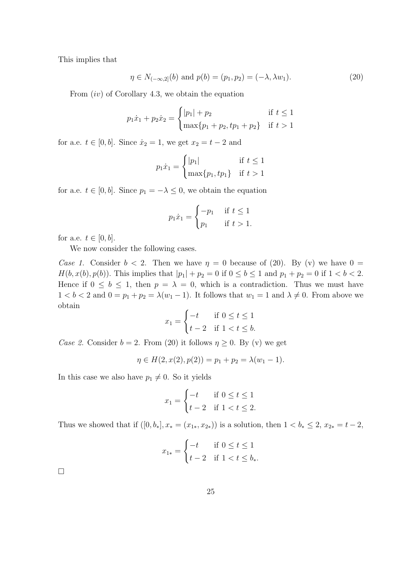This implies that

$$
\eta \in N_{(-\infty,2]}(b) \text{ and } p(b) = (p_1, p_2) = (-\lambda, \lambda w_1). \tag{20}
$$

From  $(iv)$  of Corollary 4.3, we obtain the equation

$$
p_1\dot{x}_1 + p_2\dot{x}_2 = \begin{cases} |p_1| + p_2 & \text{if } t \le 1\\ \max\{p_1 + p_2, tp_1 + p_2\} & \text{if } t > 1 \end{cases}
$$

for a.e.  $t \in [0, b]$ . Since  $\dot{x}_2 = 1$ , we get  $x_2 = t - 2$  and

$$
p_1 \dot{x}_1 = \begin{cases} |p_1| & \text{if } t \le 1\\ \max\{p_1, tp_1\} & \text{if } t > 1 \end{cases}
$$

for a.e.  $t \in [0, b]$ . Since  $p_1 = -\lambda \leq 0$ , we obtain the equation

$$
p_1 \dot{x}_1 = \begin{cases} -p_1 & \text{if } t \le 1\\ p_1 & \text{if } t > 1. \end{cases}
$$

for a.e.  $t \in [0, b]$ .

We now consider the following cases.

Case 1. Consider  $b < 2$ . Then we have  $\eta = 0$  because of (20). By (v) we have  $0 =$  $H(b, x(b), p(b))$ . This implies that  $|p_1| + p_2 = 0$  if  $0 \le b \le 1$  and  $p_1 + p_2 = 0$  if  $1 < b < 2$ . Hence if  $0 \leq b \leq 1$ , then  $p = \lambda = 0$ , which is a contradiction. Thus we must have  $1 < b < 2$  and  $0 = p_1 + p_2 = \lambda(w_1 - 1)$ . It follows that  $w_1 = 1$  and  $\lambda \neq 0$ . From above we obtain

$$
x_1 = \begin{cases} -t & \text{if } 0 \le t \le 1\\ t-2 & \text{if } 1 < t \le b. \end{cases}
$$

Case 2. Consider  $b = 2$ . From (20) it follows  $\eta \geq 0$ . By (v) we get

$$
\eta \in H(2, x(2), p(2)) = p_1 + p_2 = \lambda(w_1 - 1).
$$

In this case we also have  $p_1 \neq 0$ . So it yields

$$
x_1 = \begin{cases} -t & \text{if } 0 \le t \le 1\\ t-2 & \text{if } 1 < t \le 2. \end{cases}
$$

Thus we showed that if  $([0, b_*], x_* = (x_{1*}, x_{2*}))$  is a solution, then  $1 < b_* \leq 2$ ,  $x_{2*} = t - 2$ ,

$$
x_{1*} = \begin{cases} -t & \text{if } 0 \le t \le 1\\ t-2 & \text{if } 1 < t \le b_* \end{cases}
$$

 $\Box$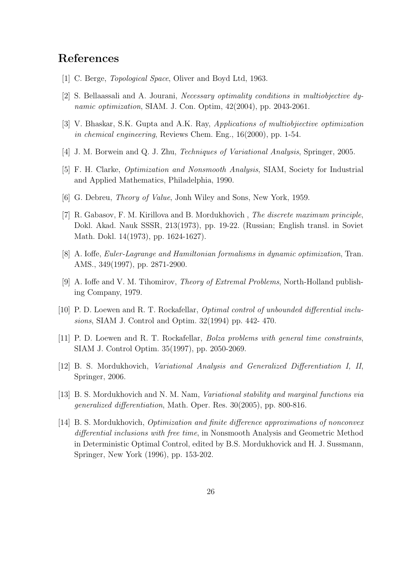### References

- [1] C. Berge, *Topological Space*, Oliver and Boyd Ltd, 1963.
- [2] S. Bellaassali and A. Jourani, Necessary optimality conditions in multiobjective dynamic optimization, SIAM. J. Con. Optim, 42(2004), pp. 2043-2061.
- [3] V. Bhaskar, S.K. Gupta and A.K. Ray, Applications of multiobjiective optimization in chemical engineering, Reviews Chem. Eng., 16(2000), pp. 1-54.
- [4] J. M. Borwein and Q. J. Zhu, Techniques of Variational Analysis, Springer, 2005.
- [5] F. H. Clarke, Optimization and Nonsmooth Analysis, SIAM, Society for Industrial and Applied Mathematics, Philadelphia, 1990.
- [6] G. Debreu, Theory of Value, Jonh Wiley and Sons, New York, 1959.
- [7] R. Gabasov, F. M. Kirillova and B. Mordukhovich , The discrete maximum principle, Dokl. Akad. Nauk SSSR, 213(1973), pp. 19-22. (Russian; English transl. in Soviet Math. Dokl. 14(1973), pp. 1624-1627).
- [8] A. Ioffe, Euler-Lagrange and Hamiltonian formalisms in dynamic optimization, Tran. AMS., 349(1997), pp. 2871-2900.
- [9] A. Ioffe and V. M. Tihomirov, Theory of Extremal Problems, North-Holland publishing Company, 1979.
- [10] P. D. Loewen and R. T. Rockafellar, Optimal control of unbounded differential inclusions, SIAM J. Control and Optim. 32(1994) pp. 442- 470.
- [11] P. D. Loewen and R. T. Rockafellar, Bolza problems with general time constraints, SIAM J. Control Optim. 35(1997), pp. 2050-2069.
- [12] B. S. Mordukhovich, Variational Analysis and Generalized Differentiation I, II, Springer, 2006.
- [13] B. S. Mordukhovich and N. M. Nam, Variational stability and marginal functions via generalized differentiation, Math. Oper. Res. 30(2005), pp. 800-816.
- [14] B. S. Mordukhovich, Optimization and finite difference approximations of nonconvex differential inclusions with free time, in Nonsmooth Analysis and Geometric Method in Deterministic Optimal Control, edited by B.S. Mordukhovick and H. J. Sussmann, Springer, New York (1996), pp. 153-202.